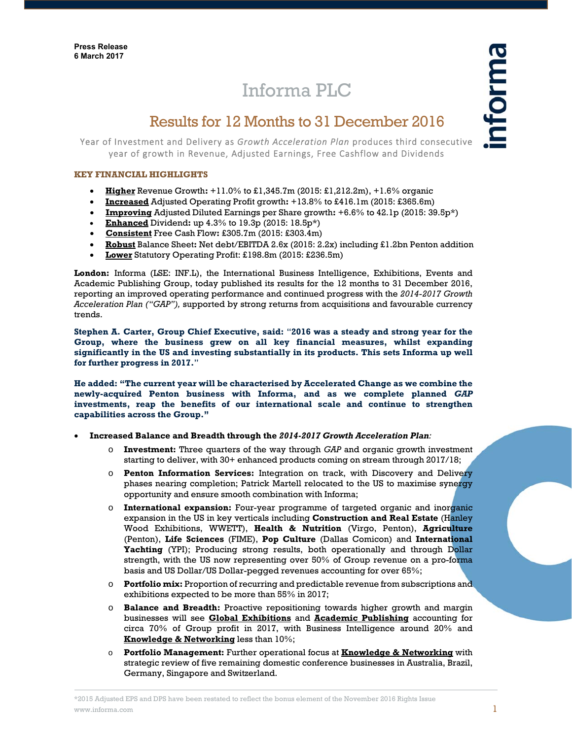# Informa PLC

## Results for 12 Months to 31 December 2016

Year of Investment and Delivery as *Growth Acceleration Plan* produces third consecutive year of growth in Revenue, Adjusted Earnings, Free Cashflow and Dividends

## **KEY FINANCIAL HIGHLIGHTS**

- **Higher** Revenue Growth**:** +11.0% to £1,345.7m (2015: £1,212.2m), +1.6% organic
- **Increased** Adjusted Operating Profit growth**:** +13.8% to £416.1m (2015: £365.6m)
- **Improving** Adjusted Diluted Earnings per Share growth**:** +6.6% to 42.1p (2015: 39.5p\*)
- **Enhanced** Dividend**:** up 4.3% to 19.3p (2015: 18.5p\*)
- **Consistent** Free Cash Flow**:** £305.7m (2015: £303.4m)
- **Robust** Balance Sheet**:** Net debt/EBITDA 2.6x (2015: 2.2x) including £1.2bn Penton addition
- **Lower** Statutory Operating Profit: £198.8m (2015: £236.5m)

**London:** Informa (LSE: INF.L), the International Business Intelligence, Exhibitions, Events and Academic Publishing Group, today published its results for the 12 months to 31 December 2016, reporting an improved operating performance and continued progress with the *2014-2017 Growth Acceleration Plan ("GAP"),* supported by strong returns from acquisitions and favourable currency trends.

**Stephen A. Carter, Group Chief Executive, said:** "**2016 was a steady and strong year for the Group, where the business grew on all key financial measures, whilst expanding significantly in the US and investing substantially in its products. This sets Informa up well for further progress in 2017.**"

**He added: "The current year will be characterised by Accelerated Change as we combine the newly-acquired Penton business with Informa, and as we complete planned** *GAP* **investments, reap the benefits of our international scale and continue to strengthen capabilities across the Group."**

## **Increased Balance and Breadth through the** *2014-2017 Growth Acceleration Plan:*

- o **Investment:** Three quarters of the way through *GAP* and organic growth investment starting to deliver, with 30+ enhanced products coming on stream through 2017/18;
- o **Penton Information Services:** Integration on track, with Discovery and Delivery phases nearing completion; Patrick Martell relocated to the US to maximise synergy opportunity and ensure smooth combination with Informa;
- o **International expansion:** Four-year programme of targeted organic and inorganic expansion in the US in key verticals including **Construction and Real Estate** (Hanley Wood Exhibitions, WWETT), **Health & Nutrition** (Virgo, Penton), **Agriculture** (Penton), **Life Sciences** (FIME), **Pop Culture** (Dallas Comicon) and **International Yachting** (YPI); Producing strong results, both operationally and through Dollar strength, with the US now representing over 50% of Group revenue on a pro-forma basis and US Dollar/US Dollar-pegged revenues accounting for over 65%;
- o **Portfolio mix:** Proportion of recurring and predictable revenue from subscriptions and exhibitions expected to be more than 55% in 2017;
- o **Balance and Breadth:** Proactive repositioning towards higher growth and margin businesses will see **Global Exhibitions** and **Academic Publishing** accounting for circa 70% of Group profit in 2017, with Business Intelligence around 20% and **Knowledge & Networking** less than 10%;
- o **Portfolio Management:** Further operational focus at **Knowledge & Networking** with strategic review of five remaining domestic conference businesses in Australia, Brazil, Germany, Singapore and Switzerland.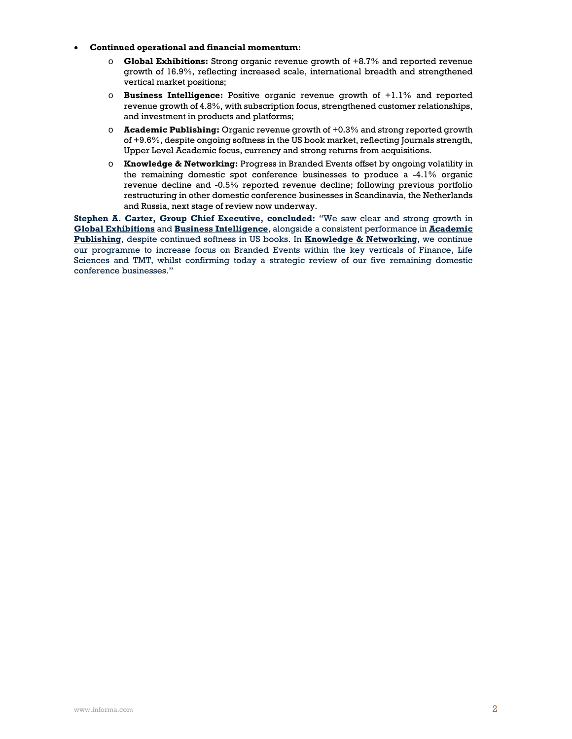- **Continued operational and financial momentum:** 
	- o **Global Exhibitions:** Strong organic revenue growth of +8.7% and reported revenue growth of 16.9%, reflecting increased scale, international breadth and strengthened vertical market positions;
	- o **Business Intelligence:** Positive organic revenue growth of +1.1% and reported revenue growth of 4.8%, with subscription focus, strengthened customer relationships, and investment in products and platforms;
	- o **Academic Publishing:** Organic revenue growth of +0.3% and strong reported growth of +9.6%, despite ongoing softness in the US book market, reflecting Journals strength, Upper Level Academic focus, currency and strong returns from acquisitions.
	- o **Knowledge & Networking:** Progress in Branded Events offset by ongoing volatility in the remaining domestic spot conference businesses to produce a -4.1% organic revenue decline and -0.5% reported revenue decline; following previous portfolio restructuring in other domestic conference businesses in Scandinavia, the Netherlands and Russia, next stage of review now underway.

**Stephen A. Carter, Group Chief Executive, concluded:** "We saw clear and strong growth in **Global Exhibitions** and **Business Intelligence**, alongside a consistent performance in **Academic Publishing**, despite continued softness in US books. In **Knowledge & Networking**, we continue our programme to increase focus on Branded Events within the key verticals of Finance, Life Sciences and TMT, whilst confirming today a strategic review of our five remaining domestic conference businesses."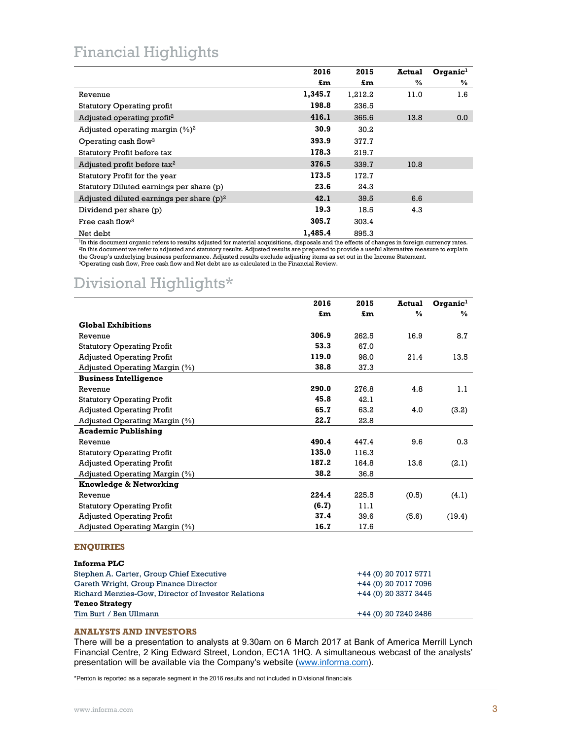## Financial Highlights

|                                             | 2016    | 2015    | <b>Actual</b> | $O$ rqanic $1$ |
|---------------------------------------------|---------|---------|---------------|----------------|
|                                             | £m      | £m      | %             | %              |
| Revenue                                     | 1,345.7 | 1,212.2 | 11.0          | 1.6            |
| Statutory Operating profit                  | 198.8   | 236.5   |               |                |
| Adjusted operating profit <sup>2</sup>      | 416.1   | 365.6   | 13.8          | 0.0            |
| Adjusted operating margin $(\%)^2$          | 30.9    | 30.2    |               |                |
| Operating cash flow <sup>3</sup>            | 393.9   | 377.7   |               |                |
| Statutory Profit before tax                 | 178.3   | 219.7   |               |                |
| Adjusted profit before tax <sup>2</sup>     | 376.5   | 339.7   | 10.8          |                |
| Statutory Profit for the year               | 173.5   | 172.7   |               |                |
| Statutory Diluted earnings per share (p)    | 23.6    | 24.3    |               |                |
| Adjusted diluted earnings per share $(p)^2$ | 42.1    | 39.5    | 6.6           |                |
| Dividend per share (p)                      | 19.3    | 18.5    | 4.3           |                |
| Free cash flow <sup>3</sup>                 | 305.7   | 303.4   |               |                |
| Net debt                                    | 1,485.4 | 895.3   |               |                |

<sup>1</sup>In this document organic refers to results adjusted for material acquisitions, disposals and the effects of changes in foreign currency rates.<br><sup>2</sup>In this document we refer to adjusted and statutory results. Adjusted res the Group's underlying business performance. Adjusted results exclude adjusting items as set out in the Income Statement. 3Operating cash flow, Free cash flow and Net debt are as calculated in the Financial Review.

# Divisional Highlights\*

|                                                     | 2016                 | 2015  | <b>Actual</b>        | $O$ rqanic <sup>1</sup> |
|-----------------------------------------------------|----------------------|-------|----------------------|-------------------------|
|                                                     | £m                   | £m    | $\frac{0}{0}$        | ℅                       |
| <b>Global Exhibitions</b>                           |                      |       |                      |                         |
| Revenue                                             | 306.9                | 262.5 | 16.9                 | 8.7                     |
| <b>Statutory Operating Profit</b>                   | 53.3                 | 67.0  |                      |                         |
| <b>Adjusted Operating Profit</b>                    | 119.0                | 98.0  | 21.4                 | 13.5                    |
| Adjusted Operating Margin (%)                       | 38.8                 | 37.3  |                      |                         |
| <b>Business Intelligence</b>                        |                      |       |                      |                         |
| Revenue                                             | 290.0                | 276.8 | 4.8                  | 1.1                     |
| <b>Statutory Operating Profit</b>                   | 45.8                 | 42.1  |                      |                         |
| <b>Adjusted Operating Profit</b>                    | 65.7                 | 63.2  | 4.0                  | (3.2)                   |
| Adjusted Operating Margin (%)                       | 22.7                 | 22.8  |                      |                         |
| <b>Academic Publishing</b>                          |                      |       |                      |                         |
| Revenue                                             | 490.4                | 447.4 | 9.6                  | 0.3                     |
| <b>Statutory Operating Profit</b>                   | 135.0                | 116.3 |                      |                         |
| <b>Adjusted Operating Profit</b>                    | 187.2                | 164.8 | 13.6                 | (2.1)                   |
| Adjusted Operating Margin (%)                       | 38.2                 | 36.8  |                      |                         |
| Knowledge & Networking                              |                      |       |                      |                         |
| Revenue                                             | 224.4                | 225.5 | (0.5)                | (4.1)                   |
| <b>Statutory Operating Profit</b>                   | (6.7)                | 11.1  |                      |                         |
| <b>Adjusted Operating Profit</b>                    | 37.4                 | 39.6  | (5.6)                | (19.4)                  |
| Adjusted Operating Margin (%)                       | 16.7                 | 17.6  |                      |                         |
|                                                     |                      |       |                      |                         |
| <b>ENOUIRIES</b>                                    |                      |       |                      |                         |
| <b>Informa PLC</b>                                  |                      |       |                      |                         |
| Stephen A. Carter, Group Chief Executive            | +44 (0) 20 7017 5771 |       |                      |                         |
| Gareth Wright, Group Finance Director               |                      |       | +44 (0) 20 7017 7096 |                         |
| Richard Menzies-Gow, Director of Investor Relations | +44 (0) 20 3377 3445 |       |                      |                         |
| <b>Teneo Strategy</b>                               |                      |       |                      |                         |

Tim Burt / Ben Ullmann +44 (0) 20 7240 2486 **ANALYSTS AND INVESTORS** 

## There will be a presentation to analysts at 9.30am on 6 March 2017 at Bank of America Merrill Lynch Financial Centre, 2 King Edward Street, London, EC1A 1HQ. A simultaneous webcast of the analysts' presentation will be available via the Company's website (www.informa.com).

\*Penton is reported as a separate segment in the 2016 results and not included in Divisional financials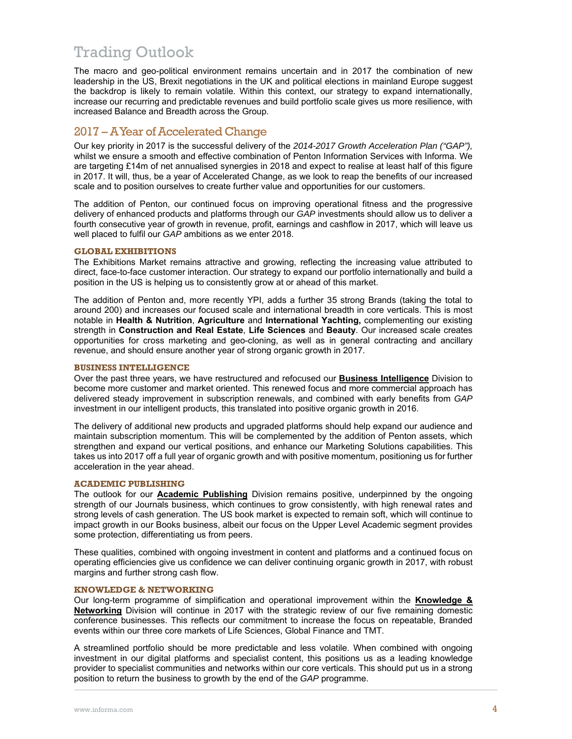## Trading Outlook

The macro and geo-political environment remains uncertain and in 2017 the combination of new leadership in the US, Brexit negotiations in the UK and political elections in mainland Europe suggest the backdrop is likely to remain volatile. Within this context, our strategy to expand internationally, increase our recurring and predictable revenues and build portfolio scale gives us more resilience, with increased Balance and Breadth across the Group.

## 2017 – A Year of Accelerated Change

Our key priority in 2017 is the successful delivery of the *2014-2017 Growth Acceleration Plan ("GAP"),*  whilst we ensure a smooth and effective combination of Penton Information Services with Informa. We are targeting £14m of net annualised synergies in 2018 and expect to realise at least half of this figure in 2017. It will, thus, be a year of Accelerated Change, as we look to reap the benefits of our increased scale and to position ourselves to create further value and opportunities for our customers.

The addition of Penton, our continued focus on improving operational fitness and the progressive delivery of enhanced products and platforms through our *GAP* investments should allow us to deliver a fourth consecutive year of growth in revenue, profit, earnings and cashflow in 2017, which will leave us well placed to fulfil our *GAP* ambitions as we enter 2018.

## **GLOBAL EXHIBITIONS**

The Exhibitions Market remains attractive and growing, reflecting the increasing value attributed to direct, face-to-face customer interaction. Our strategy to expand our portfolio internationally and build a position in the US is helping us to consistently grow at or ahead of this market.

The addition of Penton and, more recently YPI, adds a further 35 strong Brands (taking the total to around 200) and increases our focused scale and international breadth in core verticals. This is most notable in **Health & Nutrition**, **Agriculture** and **International Yachting,** complementing our existing strength in **Construction and Real Estate**, **Life Sciences** and **Beauty**. Our increased scale creates opportunities for cross marketing and geo-cloning, as well as in general contracting and ancillary revenue, and should ensure another year of strong organic growth in 2017.

## **BUSINESS INTELLIGENCE**

Over the past three years, we have restructured and refocused our **Business Intelligence** Division to become more customer and market oriented. This renewed focus and more commercial approach has delivered steady improvement in subscription renewals, and combined with early benefits from *GAP* investment in our intelligent products, this translated into positive organic growth in 2016.

The delivery of additional new products and upgraded platforms should help expand our audience and maintain subscription momentum. This will be complemented by the addition of Penton assets, which strengthen and expand our vertical positions, and enhance our Marketing Solutions capabilities. This takes us into 2017 off a full year of organic growth and with positive momentum, positioning us for further acceleration in the year ahead.

## **ACADEMIC PUBLISHING**

The outlook for our **Academic Publishing** Division remains positive, underpinned by the ongoing strength of our Journals business, which continues to grow consistently, with high renewal rates and strong levels of cash generation. The US book market is expected to remain soft, which will continue to impact growth in our Books business, albeit our focus on the Upper Level Academic segment provides some protection, differentiating us from peers.

These qualities, combined with ongoing investment in content and platforms and a continued focus on operating efficiencies give us confidence we can deliver continuing organic growth in 2017, with robust margins and further strong cash flow.

## **KNOWLEDGE & NETWORKING**

Our long-term programme of simplification and operational improvement within the **Knowledge & Networking** Division will continue in 2017 with the strategic review of our five remaining domestic conference businesses. This reflects our commitment to increase the focus on repeatable, Branded events within our three core markets of Life Sciences, Global Finance and TMT.

A streamlined portfolio should be more predictable and less volatile. When combined with ongoing investment in our digital platforms and specialist content, this positions us as a leading knowledge provider to specialist communities and networks within our core verticals. This should put us in a strong position to return the business to growth by the end of the *GAP* programme.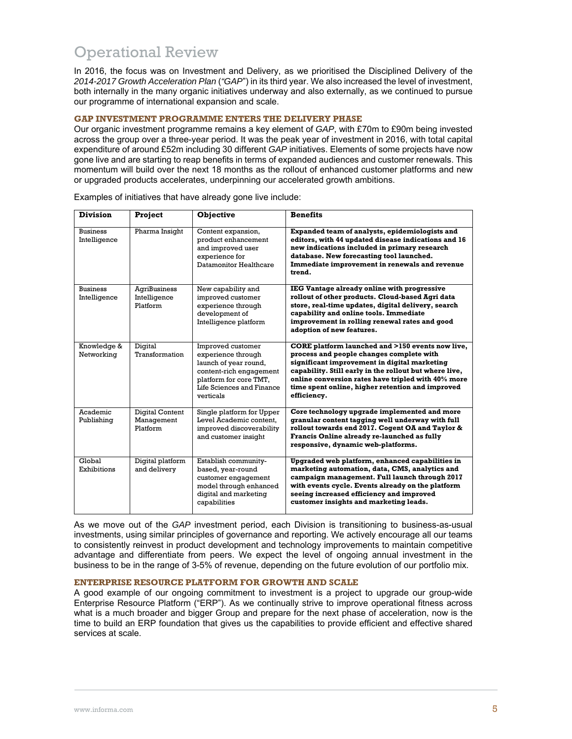## Operational Review

In 2016, the focus was on Investment and Delivery, as we prioritised the Disciplined Delivery of the *2014-2017 Growth Acceleration Plan* (*"GAP*") in its third year. We also increased the level of investment, both internally in the many organic initiatives underway and also externally, as we continued to pursue our programme of international expansion and scale.

## **GAP INVESTMENT PROGRAMME ENTERS THE DELIVERY PHASE**

Our organic investment programme remains a key element of *GAP*, with £70m to £90m being invested across the group over a three-year period. It was the peak year of investment in 2016, with total capital expenditure of around £52m including 30 different *GAP* initiatives. Elements of some projects have now gone live and are starting to reap benefits in terms of expanded audiences and customer renewals. This momentum will build over the next 18 months as the rollout of enhanced customer platforms and new or upgraded products accelerates, underpinning our accelerated growth ambitions.

| <b>Division</b>                 | <b>Project</b>                                  | <b>Objective</b>                                                                                                                                                | <b>Benefits</b>                                                                                                                                                                                                                                                                                                                 |
|---------------------------------|-------------------------------------------------|-----------------------------------------------------------------------------------------------------------------------------------------------------------------|---------------------------------------------------------------------------------------------------------------------------------------------------------------------------------------------------------------------------------------------------------------------------------------------------------------------------------|
| <b>Business</b><br>Intelligence | Pharma Insight                                  | Content expansion,<br>product enhancement<br>and improved user<br>experience for<br>Datamonitor Healthcare                                                      | Expanded team of analysts, epidemiologists and<br>editors, with 44 updated disease indications and 16<br>new indications included in primary research<br>database. New forecasting tool launched.<br>Immediate improvement in renewals and revenue<br>trend.                                                                    |
| <b>Business</b><br>Intelligence | <b>AgriBusiness</b><br>Intelligence<br>Platform | New capability and<br>improved customer<br>experience through<br>development of<br>Intelligence platform                                                        | IEG Vantage already online with progressive<br>rollout of other products. Cloud-based Agri data<br>store, real-time updates, digital delivery, search<br>capability and online tools. Immediate<br>improvement in rolling renewal rates and good<br>adoption of new features.                                                   |
| Knowledge &<br>Networking       | Digital<br>Transformation                       | Improved customer<br>experience through<br>launch of year round,<br>content-rich engagement<br>platform for core TMT,<br>Life Sciences and Finance<br>verticals | CORE platform launched and >150 events now live,<br>process and people changes complete with<br>significant improvement in digital marketing<br>capability. Still early in the rollout but where live,<br>online conversion rates have tripled with 40% more<br>time spent online, higher retention and improved<br>efficiency. |
| Academic<br>Publishing          | Digital Content<br>Management<br>Platform       | Single platform for Upper<br>Level Academic content.<br>improved discoverability<br>and customer insight                                                        | Core technology upgrade implemented and more<br>granular content tagging well underway with full<br>rollout towards end 2017. Cogent OA and Taylor &<br>Francis Online already re-launched as fully<br>responsive, dynamic web-platforms.                                                                                       |
| Global<br>Exhibitions           | Digital platform<br>and delivery                | Establish community-<br>based, year-round<br>customer engagement<br>model through enhanced<br>digital and marketing<br>capabilities                             | Upgraded web platform, enhanced capabilities in<br>marketing automation, data, CMS, analytics and<br>campaign management. Full launch through 2017<br>with events cycle. Events already on the platform<br>seeing increased efficiency and improved<br>customer insights and marketing leads.                                   |

Examples of initiatives that have already gone live include:

As we move out of the *GAP* investment period, each Division is transitioning to business-as-usual investments, using similar principles of governance and reporting. We actively encourage all our teams to consistently reinvest in product development and technology improvements to maintain competitive advantage and differentiate from peers. We expect the level of ongoing annual investment in the business to be in the range of 3-5% of revenue, depending on the future evolution of our portfolio mix.

## **ENTERPRISE RESOURCE PLATFORM FOR GROWTH AND SCALE**

A good example of our ongoing commitment to investment is a project to upgrade our group-wide Enterprise Resource Platform ("ERP"). As we continually strive to improve operational fitness across what is a much broader and bigger Group and prepare for the next phase of acceleration, now is the time to build an ERP foundation that gives us the capabilities to provide efficient and effective shared services at scale.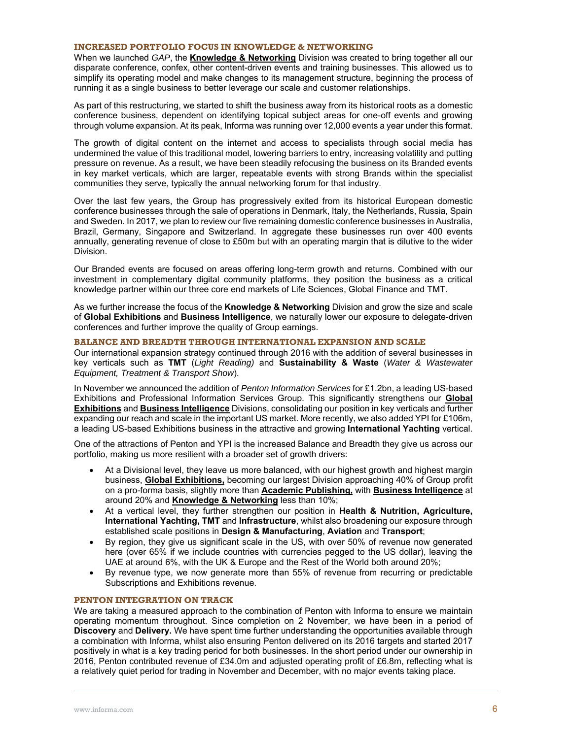## **INCREASED PORTFOLIO FOCUS IN KNOWLEDGE & NETWORKING**

When we launched *GAP*, the **Knowledge & Networking** Division was created to bring together all our disparate conference, confex, other content-driven events and training businesses. This allowed us to simplify its operating model and make changes to its management structure, beginning the process of running it as a single business to better leverage our scale and customer relationships.

As part of this restructuring, we started to shift the business away from its historical roots as a domestic conference business, dependent on identifying topical subject areas for one-off events and growing through volume expansion. At its peak, Informa was running over 12,000 events a year under this format.

The growth of digital content on the internet and access to specialists through social media has undermined the value of this traditional model, lowering barriers to entry, increasing volatility and putting pressure on revenue. As a result, we have been steadily refocusing the business on its Branded events in key market verticals, which are larger, repeatable events with strong Brands within the specialist communities they serve, typically the annual networking forum for that industry.

Over the last few years, the Group has progressively exited from its historical European domestic conference businesses through the sale of operations in Denmark, Italy, the Netherlands, Russia, Spain and Sweden. In 2017, we plan to review our five remaining domestic conference businesses in Australia, Brazil, Germany, Singapore and Switzerland. In aggregate these businesses run over 400 events annually, generating revenue of close to £50m but with an operating margin that is dilutive to the wider Division.

Our Branded events are focused on areas offering long-term growth and returns. Combined with our investment in complementary digital community platforms, they position the business as a critical knowledge partner within our three core end markets of Life Sciences, Global Finance and TMT.

As we further increase the focus of the **Knowledge & Networking** Division and grow the size and scale of **Global Exhibitions** and **Business Intelligence**, we naturally lower our exposure to delegate-driven conferences and further improve the quality of Group earnings.

### **BALANCE AND BREADTH THROUGH INTERNATIONAL EXPANSION AND SCALE**

Our international expansion strategy continued through 2016 with the addition of several businesses in key verticals such as **TMT** (*Light Reading)* and **Sustainability & Waste** (*Water & Wastewater Equipment, Treatment & Transport Show*).

In November we announced the addition of *Penton Information Services* for £1.2bn, a leading US-based Exhibitions and Professional Information Services Group. This significantly strengthens our **Global Exhibitions** and **Business Intelligence** Divisions, consolidating our position in key verticals and further expanding our reach and scale in the important US market. More recently, we also added YPI for £106m, a leading US-based Exhibitions business in the attractive and growing **International Yachting** vertical.

One of the attractions of Penton and YPI is the increased Balance and Breadth they give us across our portfolio, making us more resilient with a broader set of growth drivers:

- At a Divisional level, they leave us more balanced, with our highest growth and highest margin business, **Global Exhibitions,** becoming our largest Division approaching 40% of Group profit on a pro-forma basis, slightly more than **Academic Publishing,** with **Business Intelligence** at around 20% and **Knowledge & Networking** less than 10%;
- At a vertical level, they further strengthen our position in **Health & Nutrition, Agriculture, International Yachting, TMT** and **Infrastructure**, whilst also broadening our exposure through established scale positions in **Design & Manufacturing**, **Aviation** and **Transport**;
- By region, they give us significant scale in the US, with over 50% of revenue now generated here (over 65% if we include countries with currencies pegged to the US dollar), leaving the UAE at around 6%, with the UK & Europe and the Rest of the World both around 20%;
- By revenue type, we now generate more than 55% of revenue from recurring or predictable Subscriptions and Exhibitions revenue.

### **PENTON INTEGRATION ON TRACK**

We are taking a measured approach to the combination of Penton with Informa to ensure we maintain operating momentum throughout. Since completion on 2 November, we have been in a period of **Discovery** and **Delivery.** We have spent time further understanding the opportunities available through a combination with Informa, whilst also ensuring Penton delivered on its 2016 targets and started 2017 positively in what is a key trading period for both businesses. In the short period under our ownership in 2016, Penton contributed revenue of £34.0m and adjusted operating profit of £6.8m, reflecting what is a relatively quiet period for trading in November and December, with no major events taking place.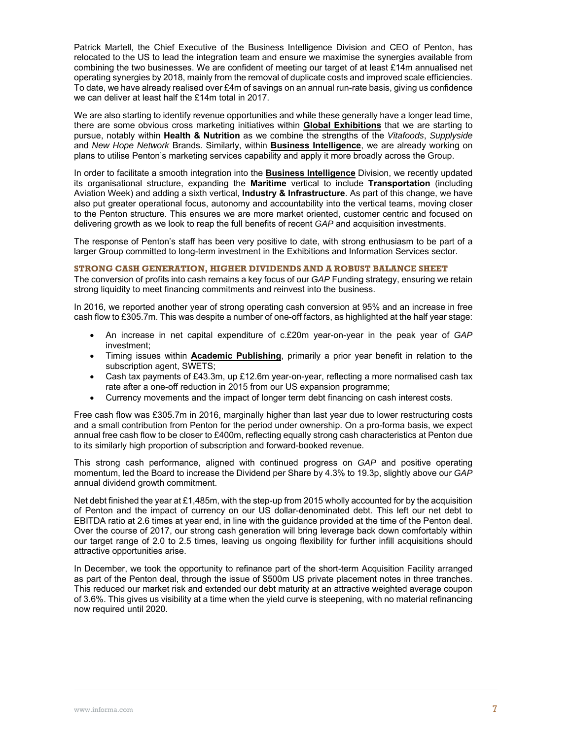Patrick Martell, the Chief Executive of the Business Intelligence Division and CEO of Penton, has relocated to the US to lead the integration team and ensure we maximise the synergies available from combining the two businesses. We are confident of meeting our target of at least £14m annualised net operating synergies by 2018, mainly from the removal of duplicate costs and improved scale efficiencies. To date, we have already realised over £4m of savings on an annual run-rate basis, giving us confidence we can deliver at least half the £14m total in 2017.

We are also starting to identify revenue opportunities and while these generally have a longer lead time, there are some obvious cross marketing initiatives within **Global Exhibitions** that we are starting to pursue, notably within **Health & Nutrition** as we combine the strengths of the *Vitafoods*, *Supplyside* and *New Hope Network* Brands. Similarly, within **Business Intelligence**, we are already working on plans to utilise Penton's marketing services capability and apply it more broadly across the Group.

In order to facilitate a smooth integration into the **Business Intelligence** Division, we recently updated its organisational structure, expanding the **Maritime** vertical to include **Transportation** (including Aviation Week) and adding a sixth vertical, **Industry & Infrastructure**. As part of this change, we have also put greater operational focus, autonomy and accountability into the vertical teams, moving closer to the Penton structure. This ensures we are more market oriented, customer centric and focused on delivering growth as we look to reap the full benefits of recent *GAP* and acquisition investments.

The response of Penton's staff has been very positive to date, with strong enthusiasm to be part of a larger Group committed to long-term investment in the Exhibitions and Information Services sector.

### **STRONG CASH GENERATION, HIGHER DIVIDENDS AND A ROBUST BALANCE SHEET**

The conversion of profits into cash remains a key focus of our *GAP* Funding strategy, ensuring we retain strong liquidity to meet financing commitments and reinvest into the business.

In 2016, we reported another year of strong operating cash conversion at 95% and an increase in free cash flow to £305.7m. This was despite a number of one-off factors, as highlighted at the half year stage:

- An increase in net capital expenditure of c.£20m year-on-year in the peak year of *GAP* investment;
- Timing issues within **Academic Publishing**, primarily a prior year benefit in relation to the subscription agent, SWETS;
- Cash tax payments of £43.3m, up £12.6m year-on-year, reflecting a more normalised cash tax rate after a one-off reduction in 2015 from our US expansion programme;
- Currency movements and the impact of longer term debt financing on cash interest costs.

Free cash flow was £305.7m in 2016, marginally higher than last year due to lower restructuring costs and a small contribution from Penton for the period under ownership. On a pro-forma basis, we expect annual free cash flow to be closer to £400m, reflecting equally strong cash characteristics at Penton due to its similarly high proportion of subscription and forward-booked revenue.

This strong cash performance, aligned with continued progress on *GAP* and positive operating momentum, led the Board to increase the Dividend per Share by 4.3% to 19.3p, slightly above our *GAP* annual dividend growth commitment.

Net debt finished the year at £1,485m, with the step-up from 2015 wholly accounted for by the acquisition of Penton and the impact of currency on our US dollar-denominated debt. This left our net debt to EBITDA ratio at 2.6 times at year end, in line with the guidance provided at the time of the Penton deal. Over the course of 2017, our strong cash generation will bring leverage back down comfortably within our target range of 2.0 to 2.5 times, leaving us ongoing flexibility for further infill acquisitions should attractive opportunities arise.

In December, we took the opportunity to refinance part of the short-term Acquisition Facility arranged as part of the Penton deal, through the issue of \$500m US private placement notes in three tranches. This reduced our market risk and extended our debt maturity at an attractive weighted average coupon of 3.6%. This gives us visibility at a time when the yield curve is steepening, with no material refinancing now required until 2020.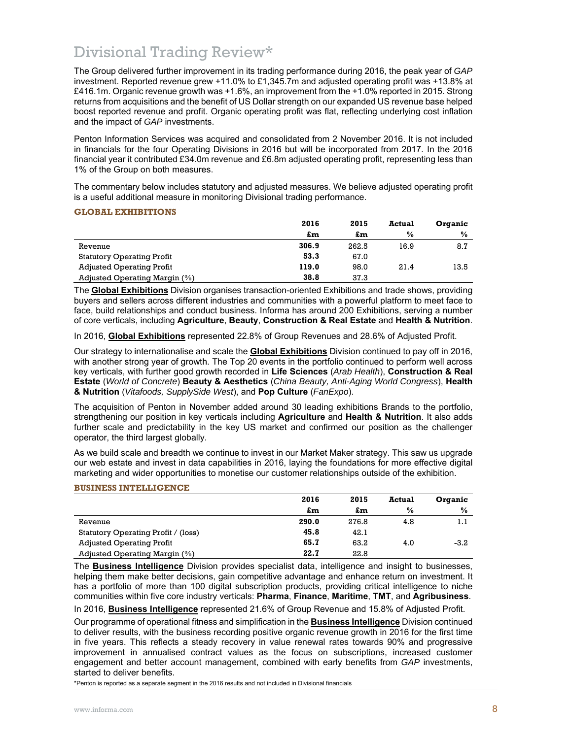## Divisional Trading Review\*

The Group delivered further improvement in its trading performance during 2016, the peak year of *GAP* investment. Reported revenue grew +11.0% to £1,345.7m and adjusted operating profit was +13.8% at £416.1m. Organic revenue growth was +1.6%, an improvement from the +1.0% reported in 2015. Strong returns from acquisitions and the benefit of US Dollar strength on our expanded US revenue base helped boost reported revenue and profit. Organic operating profit was flat, reflecting underlying cost inflation and the impact of *GAP* investments.

Penton Information Services was acquired and consolidated from 2 November 2016. It is not included in financials for the four Operating Divisions in 2016 but will be incorporated from 2017. In the 2016 financial year it contributed £34.0m revenue and £6.8m adjusted operating profit, representing less than 1% of the Group on both measures.

The commentary below includes statutory and adjusted measures. We believe adjusted operating profit is a useful additional measure in monitoring Divisional trading performance.

### **GLOBAL EXHIBITIONS**

|                                   | 2016  | 2015  | <b>Actual</b> | Organic       |
|-----------------------------------|-------|-------|---------------|---------------|
|                                   | £m    | £m    | $\frac{0}{0}$ | $\frac{6}{9}$ |
| Revenue                           | 306.9 | 262.5 | 16.9          | 8.7           |
| <b>Statutory Operating Profit</b> | 53.3  | 67.0  |               |               |
| <b>Adjusted Operating Profit</b>  | 119.0 | 98.0  | 21.4          | 13.5          |
| Adjusted Operating Margin (%)     | 38.8  | 37.3  |               |               |

The **Global Exhibitions** Division organises transaction-oriented Exhibitions and trade shows, providing buyers and sellers across different industries and communities with a powerful platform to meet face to face, build relationships and conduct business. Informa has around 200 Exhibitions, serving a number of core verticals, including **Agriculture**, **Beauty**, **Construction & Real Estate** and **Health & Nutrition**.

In 2016, **Global Exhibitions** represented 22.8% of Group Revenues and 28.6% of Adjusted Profit.

Our strategy to internationalise and scale the **Global Exhibitions** Division continued to pay off in 2016, with another strong year of growth. The Top 20 events in the portfolio continued to perform well across key verticals, with further good growth recorded in **Life Sciences** (*Arab Health*), **Construction & Real Estate** (*World of Concrete*) **Beauty & Aesthetics** (*China Beauty, Anti-Aging World Congress*), **Health & Nutrition** (*Vitafoods, SupplySide West*), and **Pop Culture** (*FanExpo*).

The acquisition of Penton in November added around 30 leading exhibitions Brands to the portfolio, strengthening our position in key verticals including **Agriculture** and **Health & Nutrition**. It also adds further scale and predictability in the key US market and confirmed our position as the challenger operator, the third largest globally.

As we build scale and breadth we continue to invest in our Market Maker strategy. This saw us upgrade our web estate and invest in data capabilities in 2016, laying the foundations for more effective digital marketing and wider opportunities to monetise our customer relationships outside of the exhibition.

## **BUSINESS INTELLIGENCE**

|                                     | 2016  | 2015  | <b>Actual</b> | Organic       |
|-------------------------------------|-------|-------|---------------|---------------|
|                                     | £m    | £m    | $\frac{0}{0}$ | $\frac{0}{0}$ |
| Revenue                             | 290.0 | 276.8 | 4.8           |               |
| Statutory Operating Profit / (loss) | 45.8  | 42.1  |               |               |
| <b>Adjusted Operating Profit</b>    | 65.7  | 63.2  | 4.0           | $-3.2$        |
| Adjusted Operating Margin (%)       | 22.7  | 22.8  |               |               |

The **Business Intelligence** Division provides specialist data, intelligence and insight to businesses, helping them make better decisions, gain competitive advantage and enhance return on investment. It has a portfolio of more than 100 digital subscription products, providing critical intelligence to niche communities within five core industry verticals: **Pharma**, **Finance**, **Maritime**, **TMT**, and **Agribusiness**.

In 2016, **Business Intelligence** represented 21.6% of Group Revenue and 15.8% of Adjusted Profit.

Our programme of operational fitness and simplification in the **Business Intelligence** Division continued to deliver results, with the business recording positive organic revenue growth in 2016 for the first time in five years. This reflects a steady recovery in value renewal rates towards 90% and progressive improvement in annualised contract values as the focus on subscriptions, increased customer engagement and better account management, combined with early benefits from *GAP* investments, started to deliver benefits.

\*Penton is reported as a separate segment in the 2016 results and not included in Divisional financials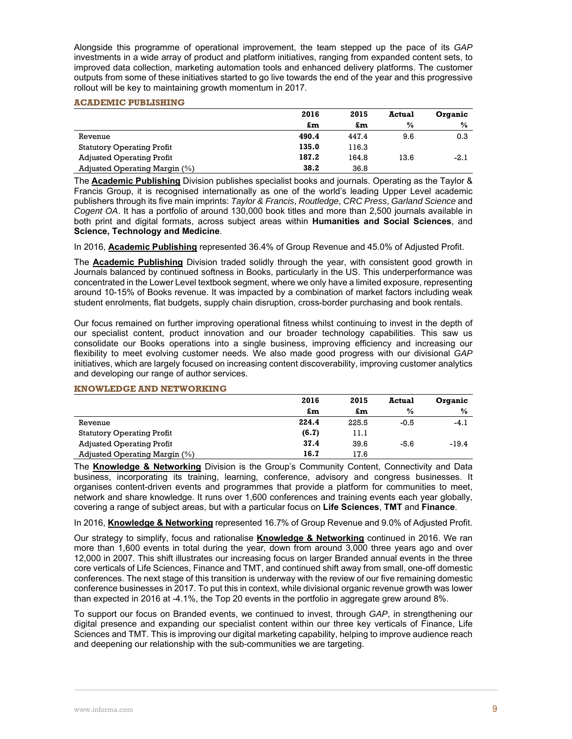Alongside this programme of operational improvement, the team stepped up the pace of its *GAP* investments in a wide array of product and platform initiatives, ranging from expanded content sets, to improved data collection, marketing automation tools and enhanced delivery platforms. The customer outputs from some of these initiatives started to go live towards the end of the year and this progressive rollout will be key to maintaining growth momentum in 2017.

## **ACADEMIC PUBLISHING**

|                                   | 2016  | 2015  | <b>Actual</b> | Organic       |
|-----------------------------------|-------|-------|---------------|---------------|
|                                   | £m    | £m    | $\frac{0}{0}$ | $\frac{0}{0}$ |
| Revenue                           | 490.4 | 447.4 | 9.6           | 0.3           |
| <b>Statutory Operating Profit</b> | 135.0 | 116.3 |               |               |
| <b>Adjusted Operating Profit</b>  | 187.2 | 164.8 | 13.6          | $-2.1$        |
| Adjusted Operating Margin (%)     | 38.2  | 36.8  |               |               |

The **Academic Publishing** Division publishes specialist books and journals. Operating as the Taylor & Francis Group, it is recognised internationally as one of the world's leading Upper Level academic publishers through its five main imprints: *Taylor & Francis*, *Routledge*, *CRC Press*, *Garland Science* and *Cogent OA*. It has a portfolio of around 130,000 book titles and more than 2,500 journals available in both print and digital formats, across subject areas within **Humanities and Social Sciences**, and **Science, Technology and Medicine**.

In 2016, **Academic Publishing** represented 36.4% of Group Revenue and 45.0% of Adjusted Profit.

The **Academic Publishing** Division traded solidly through the year, with consistent good growth in Journals balanced by continued softness in Books, particularly in the US. This underperformance was concentrated in the Lower Level textbook segment, where we only have a limited exposure, representing around 10-15% of Books revenue. It was impacted by a combination of market factors including weak student enrolments, flat budgets, supply chain disruption, cross-border purchasing and book rentals.

Our focus remained on further improving operational fitness whilst continuing to invest in the depth of our specialist content, product innovation and our broader technology capabilities. This saw us consolidate our Books operations into a single business, improving efficiency and increasing our flexibility to meet evolving customer needs. We also made good progress with our divisional *GAP* initiatives, which are largely focused on increasing content discoverability, improving customer analytics and developing our range of author services.

|                                   | 2016  | 2015  | <b>Actual</b> | Organic       |
|-----------------------------------|-------|-------|---------------|---------------|
|                                   | £m    | £m    | %             | $\frac{0}{0}$ |
| Revenue                           | 224.4 | 225.5 | $-0.5$        | $-4.1$        |
| <b>Statutory Operating Profit</b> | (6.7) | 11.1  |               |               |
| <b>Adjusted Operating Profit</b>  | 37.4  | 39.6  | $-5.6$        | $-19.4$       |
| Adjusted Operating Margin (%)     | 16.7  | 17.6  |               |               |

### **KNOWLEDGE AND NETWORKING**

The **Knowledge & Networking** Division is the Group's Community Content, Connectivity and Data business, incorporating its training, learning, conference, advisory and congress businesses. It organises content-driven events and programmes that provide a platform for communities to meet, network and share knowledge. It runs over 1,600 conferences and training events each year globally, covering a range of subject areas, but with a particular focus on **Life Sciences**, **TMT** and **Finance**.

In 2016, **Knowledge & Networking** represented 16.7% of Group Revenue and 9.0% of Adjusted Profit.

Our strategy to simplify, focus and rationalise **Knowledge & Networking** continued in 2016. We ran more than 1,600 events in total during the year, down from around 3,000 three years ago and over 12,000 in 2007. This shift illustrates our increasing focus on larger Branded annual events in the three core verticals of Life Sciences, Finance and TMT, and continued shift away from small, one-off domestic conferences. The next stage of this transition is underway with the review of our five remaining domestic conference businesses in 2017. To put this in context, while divisional organic revenue growth was lower than expected in 2016 at -4.1%, the Top 20 events in the portfolio in aggregate grew around 8%.

To support our focus on Branded events, we continued to invest, through *GAP*, in strengthening our digital presence and expanding our specialist content within our three key verticals of Finance, Life Sciences and TMT. This is improving our digital marketing capability, helping to improve audience reach and deepening our relationship with the sub-communities we are targeting.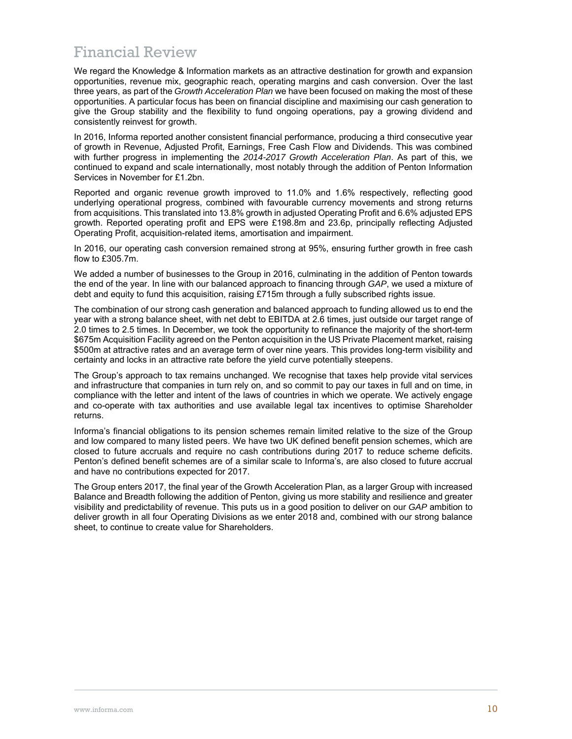## Financial Review

We regard the Knowledge & Information markets as an attractive destination for growth and expansion opportunities, revenue mix, geographic reach, operating margins and cash conversion. Over the last three years, as part of the *Growth Acceleration Plan* we have been focused on making the most of these opportunities. A particular focus has been on financial discipline and maximising our cash generation to give the Group stability and the flexibility to fund ongoing operations, pay a growing dividend and consistently reinvest for growth.

In 2016, Informa reported another consistent financial performance, producing a third consecutive year of growth in Revenue, Adjusted Profit, Earnings, Free Cash Flow and Dividends. This was combined with further progress in implementing the *2014-2017 Growth Acceleration Plan*. As part of this, we continued to expand and scale internationally, most notably through the addition of Penton Information Services in November for £1.2bn.

Reported and organic revenue growth improved to 11.0% and 1.6% respectively, reflecting good underlying operational progress, combined with favourable currency movements and strong returns from acquisitions. This translated into 13.8% growth in adjusted Operating Profit and 6.6% adjusted EPS growth. Reported operating profit and EPS were £198.8m and 23.6p, principally reflecting Adjusted Operating Profit, acquisition-related items, amortisation and impairment.

In 2016, our operating cash conversion remained strong at 95%, ensuring further growth in free cash flow to £305.7m.

We added a number of businesses to the Group in 2016, culminating in the addition of Penton towards the end of the year. In line with our balanced approach to financing through *GAP*, we used a mixture of debt and equity to fund this acquisition, raising £715m through a fully subscribed rights issue.

The combination of our strong cash generation and balanced approach to funding allowed us to end the year with a strong balance sheet, with net debt to EBITDA at 2.6 times, just outside our target range of 2.0 times to 2.5 times. In December, we took the opportunity to refinance the majority of the short-term \$675m Acquisition Facility agreed on the Penton acquisition in the US Private Placement market, raising \$500m at attractive rates and an average term of over nine years. This provides long-term visibility and certainty and locks in an attractive rate before the yield curve potentially steepens.

The Group's approach to tax remains unchanged. We recognise that taxes help provide vital services and infrastructure that companies in turn rely on, and so commit to pay our taxes in full and on time, in compliance with the letter and intent of the laws of countries in which we operate. We actively engage and co-operate with tax authorities and use available legal tax incentives to optimise Shareholder returns.

Informa's financial obligations to its pension schemes remain limited relative to the size of the Group and low compared to many listed peers. We have two UK defined benefit pension schemes, which are closed to future accruals and require no cash contributions during 2017 to reduce scheme deficits. Penton's defined benefit schemes are of a similar scale to Informa's, are also closed to future accrual and have no contributions expected for 2017.

The Group enters 2017, the final year of the Growth Acceleration Plan, as a larger Group with increased Balance and Breadth following the addition of Penton, giving us more stability and resilience and greater visibility and predictability of revenue. This puts us in a good position to deliver on our *GAP* ambition to deliver growth in all four Operating Divisions as we enter 2018 and, combined with our strong balance sheet, to continue to create value for Shareholders.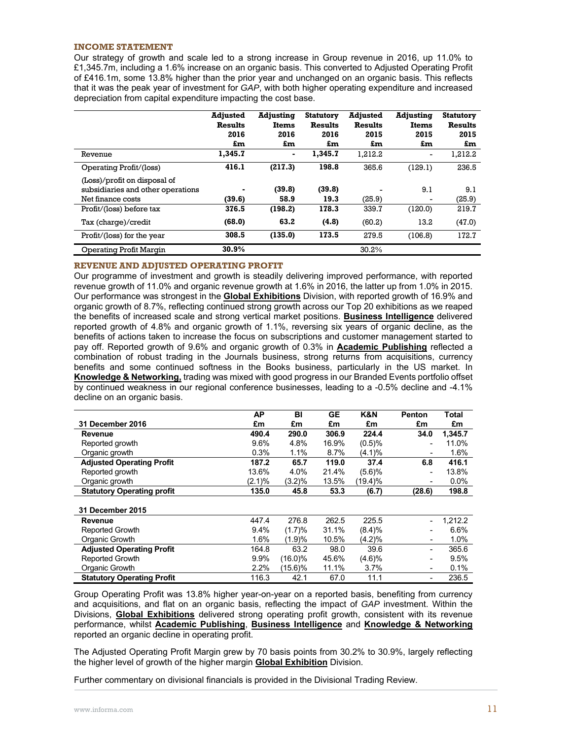## **INCOME STATEMENT**

Our strategy of growth and scale led to a strong increase in Group revenue in 2016, up 11.0% to £1,345.7m, including a 1.6% increase on an organic basis. This converted to Adjusted Operating Profit of £416.1m, some 13.8% higher than the prior year and unchanged on an organic basis. This reflects that it was the peak year of investment for *GAP*, with both higher operating expenditure and increased depreciation from capital expenditure impacting the cost base.

|                                                                                        | <b>Adjusted</b><br><b>Results</b><br>2016<br>£m | <b>Adjusting</b><br><b>Items</b><br>2016<br>£m | <b>Statutory</b><br><b>Results</b><br>2016<br>£m | <b>Adjusted</b><br><b>Results</b><br>2015<br>£m | <b>Adjusting</b><br>Items<br>2015<br>£m | <b>Statutory</b><br><b>Results</b><br>2015<br>£m |
|----------------------------------------------------------------------------------------|-------------------------------------------------|------------------------------------------------|--------------------------------------------------|-------------------------------------------------|-----------------------------------------|--------------------------------------------------|
| Revenue                                                                                | 1,345.7                                         | $\overline{\phantom{a}}$                       | 1,345.7                                          | 1.212.2                                         | $\qquad \qquad \blacksquare$            | 1,212.2                                          |
| Operating Profit/(loss)                                                                | 416.1                                           | (217.3)                                        | 198.8                                            | 365.6                                           | (129.1)                                 | 236.5                                            |
| (Loss)/profit on disposal of<br>subsidiaries and other operations<br>Net finance costs | (39.6)                                          | (39.8)<br>58.9                                 | (39.8)<br>19.3                                   | (25.9)                                          | 9.1                                     | 9.1<br>(25.9)                                    |
| Profit/(loss) before tax                                                               | 376.5                                           | (198.2)                                        | 178.3                                            | 339.7                                           | (120.0)                                 | 219.7                                            |
| Tax (charge)/credit                                                                    | (68.0)                                          | 63.2                                           | (4.8)                                            | (60.2)                                          | 13.2                                    | (47.0)                                           |
| Profit/(loss) for the year                                                             | 308.5                                           | (135.0)                                        | 173.5                                            | 279.5                                           | (106.8)                                 | 172.7                                            |
| Operating Profit Margin                                                                | 30.9%                                           |                                                |                                                  | 30.2%                                           |                                         |                                                  |

### **REVENUE AND ADJUSTED OPERATING PROFIT**

Our programme of investment and growth is steadily delivering improved performance, with reported revenue growth of 11.0% and organic revenue growth at 1.6% in 2016, the latter up from 1.0% in 2015. Our performance was strongest in the **Global Exhibitions** Division, with reported growth of 16.9% and organic growth of 8.7%, reflecting continued strong growth across our Top 20 exhibitions as we reaped the benefits of increased scale and strong vertical market positions. **Business Intelligence** delivered reported growth of 4.8% and organic growth of 1.1%, reversing six years of organic decline, as the benefits of actions taken to increase the focus on subscriptions and customer management started to pay off. Reported growth of 9.6% and organic growth of 0.3% in **Academic Publishing** reflected a combination of robust trading in the Journals business, strong returns from acquisitions, currency benefits and some continued softness in the Books business, particularly in the US market. In **Knowledge & Networking,** trading was mixed with good progress in our Branded Events portfolio offset by continued weakness in our regional conference businesses, leading to a -0.5% decline and -4.1% decline on an organic basis.

|                                   | АP     | BI         | <b>GE</b> | K&N     | <b>Penton</b>            | <b>Total</b> |
|-----------------------------------|--------|------------|-----------|---------|--------------------------|--------------|
| <b>31 December 2016</b>           | £m     | £m         | £m        | £m      | £m                       | £m           |
| Revenue                           | 490.4  | 290.0      | 306.9     | 224.4   | 34.0                     | 1,345.7      |
| Reported growth                   | 9.6%   | 4.8%       | 16.9%     | (0.5)%  | $\blacksquare$           | 11.0%        |
| Organic growth                    | 0.3%   | 1.1%       | 8.7%      | (4.1)%  | $\overline{\phantom{a}}$ | 1.6%         |
| <b>Adjusted Operating Profit</b>  | 187.2  | 65.7       | 119.0     | 37.4    | 6.8                      | 416.1        |
| Reported growth                   | 13.6%  | 4.0%       | 21.4%     | (5.6)%  | ۰                        | 13.8%        |
| Organic growth                    | (2.1)% | (3.2)%     | 13.5%     | (19.4)% | ۰                        | 0.0%         |
| <b>Statutory Operating profit</b> | 135.0  | 45.8       | 53.3      | (6.7)   | (28.6)                   | 198.8        |
|                                   |        |            |           |         |                          |              |
| <b>31 December 2015</b>           |        |            |           |         |                          |              |
| Revenue                           | 447.4  | 276.8      | 262.5     | 225.5   |                          | 1.212.2      |
| <b>Reported Growth</b>            | 9.4%   | (1.7)%     | 31.1%     | (8.4)%  | $\blacksquare$           | 6.6%         |
| Organic Growth                    | 1.6%   | (1.9)%     | 10.5%     | (4.2)%  | ٠                        | 1.0%         |
| <b>Adjusted Operating Profit</b>  | 164.8  | 63.2       | 98.0      | 39.6    | -                        | 365.6        |
| <b>Reported Growth</b>            | 9.9%   | $(16.0)\%$ | 45.6%     | (4.6)%  | $\blacksquare$           | 9.5%         |
| Organic Growth                    | 2.2%   | $(15.6)\%$ | 11.1%     | 3.7%    | ۰                        | 0.1%         |
| <b>Statutory Operating Profit</b> | 116.3  | 42.1       | 67.0      | 11.1    | ۰                        | 236.5        |

Group Operating Profit was 13.8% higher year-on-year on a reported basis, benefiting from currency and acquisitions, and flat on an organic basis, reflecting the impact of *GAP* investment. Within the Divisions, **Global Exhibitions** delivered strong operating profit growth, consistent with its revenue performance, whilst **Academic Publishing**, **Business Intelligence** and **Knowledge & Networking** reported an organic decline in operating profit.

The Adjusted Operating Profit Margin grew by 70 basis points from 30.2% to 30.9%, largely reflecting the higher level of growth of the higher margin **Global Exhibition** Division.

Further commentary on divisional financials is provided in the Divisional Trading Review.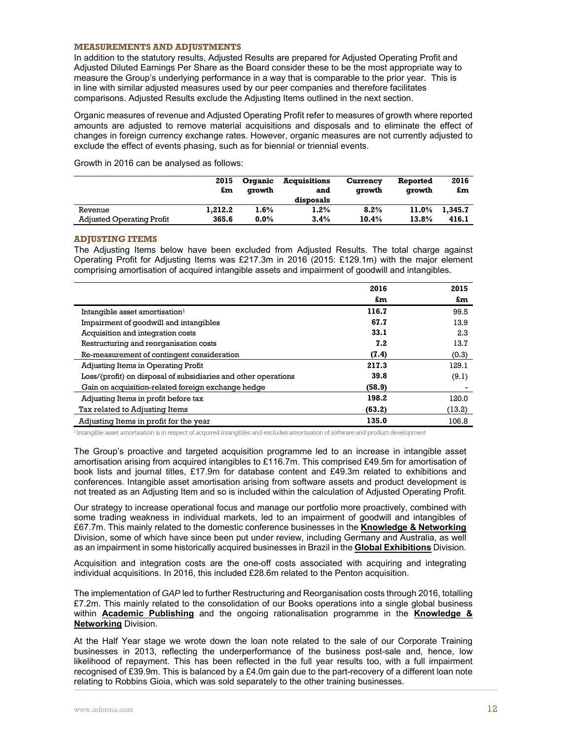### **MEASUREMENTS AND ADJUSTMENTS**

In addition to the statutory results, Adjusted Results are prepared for Adjusted Operating Profit and Adjusted Diluted Earnings Per Share as the Board consider these to be the most appropriate way to measure the Group's underlying performance in a way that is comparable to the prior year. This is in line with similar adjusted measures used by our peer companies and therefore facilitates comparisons. Adjusted Results exclude the Adjusting Items outlined in the next section.

Organic measures of revenue and Adjusted Operating Profit refer to measures of growth where reported amounts are adjusted to remove material acquisitions and disposals and to eliminate the effect of changes in foreign currency exchange rates. However, organic measures are not currently adjusted to exclude the effect of events phasing, such as for biennial or triennial events.

Growth in 2016 can be analysed as follows:

|                                  | 2015<br>£m | Organic<br>arowth | <b>Acquisitions</b><br>and<br>disposals | Currency<br>arowth | Reported<br>arowth | 2016<br>£m |
|----------------------------------|------------|-------------------|-----------------------------------------|--------------------|--------------------|------------|
| Revenue                          | 1.212.2    | $1.6\%$           | $1.2\%$                                 | 8.2%               | 11.0%              | 1.345.7    |
| <b>Adjusted Operating Profit</b> | 365.6      | $0.0\%$           | 3.4%                                    | 10.4%              | 13.8%              | 416.1      |

## **ADJUSTING ITEMS**

The Adjusting Items below have been excluded from Adjusted Results. The total charge against Operating Profit for Adjusting Items was £217.3m in 2016 (2015: £129.1m) with the major element comprising amortisation of acquired intangible assets and impairment of goodwill and intangibles.

|                                                                | 2016   | 2015   |
|----------------------------------------------------------------|--------|--------|
|                                                                | £m     | £m     |
| Intangible asset amortisation <sup>1</sup>                     | 116.7  | 99.5   |
| Impairment of goodwill and intangibles                         | 67.7   | 13.9   |
| Acquisition and integration costs                              | 33.1   | 2.3    |
| Restructuring and reorganisation costs                         | 7.2    | 13.7   |
| Re-measurement of contingent consideration                     | (7.4)  | (0.3)  |
| Adjusting Items in Operating Profit                            | 217.3  | 129.1  |
| Loss/(profit) on disposal of subsidiaries and other operations | 39.8   | (9.1)  |
| Gain on acquisition-related foreign exchange hedge             | (58.9) |        |
| Adjusting Items in profit before tax                           | 198.2  | 120.0  |
| Tax related to Adjusting Items                                 | (63.2) | (13.2) |
| Adjusting Items in profit for the year                         | 135.0  | 106.8  |

<sup>1</sup> Intangible asset amortisation is in respect of acquired intangibles and excludes amortisation of software and product development

The Group's proactive and targeted acquisition programme led to an increase in intangible asset amortisation arising from acquired intangibles to £116.7m. This comprised £49.5m for amortisation of book lists and journal titles, £17.9m for database content and £49.3m related to exhibitions and conferences. Intangible asset amortisation arising from software assets and product development is not treated as an Adjusting Item and so is included within the calculation of Adjusted Operating Profit.

Our strategy to increase operational focus and manage our portfolio more proactively, combined with some trading weakness in individual markets, led to an impairment of goodwill and intangibles of £67.7m. This mainly related to the domestic conference businesses in the **Knowledge & Networking** Division, some of which have since been put under review, including Germany and Australia, as well as an impairment in some historically acquired businesses in Brazil in the **Global Exhibitions** Division.

Acquisition and integration costs are the one-off costs associated with acquiring and integrating individual acquisitions. In 2016, this included £28.6m related to the Penton acquisition.

The implementation of *GAP* led to further Restructuring and Reorganisation costs through 2016, totalling £7.2m. This mainly related to the consolidation of our Books operations into a single global business within **Academic Publishing** and the ongoing rationalisation programme in the **Knowledge & Networking** Division.

At the Half Year stage we wrote down the loan note related to the sale of our Corporate Training businesses in 2013, reflecting the underperformance of the business post-sale and, hence, low likelihood of repayment. This has been reflected in the full year results too, with a full impairment recognised of £39.9m. This is balanced by a £4.0m gain due to the part-recovery of a different loan note relating to Robbins Gioia, which was sold separately to the other training businesses.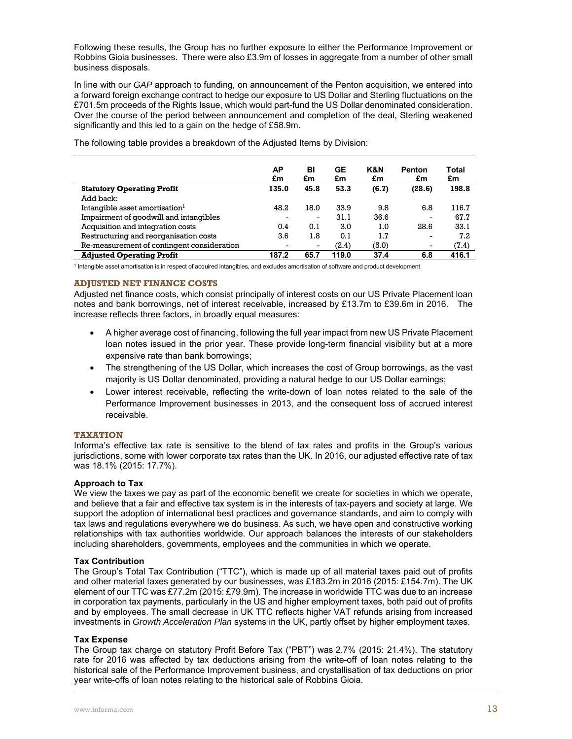Following these results, the Group has no further exposure to either the Performance Improvement or Robbins Gioia businesses. There were also £3.9m of losses in aggregate from a number of other small business disposals.

In line with our *GAP* approach to funding, on announcement of the Penton acquisition, we entered into a forward foreign exchange contract to hedge our exposure to US Dollar and Sterling fluctuations on the £701.5m proceeds of the Rights Issue, which would part-fund the US Dollar denominated consideration. Over the course of the period between announcement and completion of the deal, Sterling weakened significantly and this led to a gain on the hedge of £58.9m.

|                                            | АP<br>£m | BI<br>£m                 | GE<br>£m | K&N<br>£m | <b>Penton</b><br>£m      | Total<br>£m |
|--------------------------------------------|----------|--------------------------|----------|-----------|--------------------------|-------------|
| <b>Statutory Operating Profit</b>          | 135.0    | 45.8                     | 53.3     | (6.7)     | (28.6)                   | 198.8       |
| Add back:                                  |          |                          |          |           |                          |             |
| Intangible asset amortisation <sup>1</sup> | 48.2     | 18.0                     | 33.9     | 9.8       | 6.8                      | 116.7       |
| Impairment of goodwill and intangibles     |          | $\overline{\phantom{a}}$ | 31.1     | 36.6      | $\overline{\phantom{0}}$ | 67.7        |
| Acquisition and integration costs          | 0.4      | 0.1                      | 3.0      | 1.0       | 28.6                     | 33.1        |
| Restructuring and reorganisation costs     | 3.6      | 1.8                      | 0.1      | 1.7       | $\overline{\phantom{0}}$ | 7.2         |
| Re-measurement of contingent consideration |          | $\overline{\phantom{a}}$ | (2.4)    | (5.0)     | -                        | (7.4)       |
| <b>Adjusted Operating Profit</b>           | 187.2    | 65.7                     | 119.0    | 37.4      | 6.8                      | 416.1       |

The following table provides a breakdown of the Adjusted Items by Division:

1 Intangible asset amortisation is in respect of acquired intangibles, and excludes amortisation of software and product development

## **ADJUSTED NET FINANCE COSTS**

Adjusted net finance costs, which consist principally of interest costs on our US Private Placement loan notes and bank borrowings, net of interest receivable, increased by £13.7m to £39.6m in 2016. The increase reflects three factors, in broadly equal measures:

- A higher average cost of financing, following the full year impact from new US Private Placement loan notes issued in the prior year. These provide long-term financial visibility but at a more expensive rate than bank borrowings;
- The strengthening of the US Dollar, which increases the cost of Group borrowings, as the vast majority is US Dollar denominated, providing a natural hedge to our US Dollar earnings;
- Lower interest receivable, reflecting the write-down of loan notes related to the sale of the Performance Improvement businesses in 2013, and the consequent loss of accrued interest receivable.

## **TAXATION**

Informa's effective tax rate is sensitive to the blend of tax rates and profits in the Group's various jurisdictions, some with lower corporate tax rates than the UK. In 2016, our adjusted effective rate of tax was 18.1% (2015: 17.7%).

## **Approach to Tax**

We view the taxes we pay as part of the economic benefit we create for societies in which we operate, and believe that a fair and effective tax system is in the interests of tax-payers and society at large. We support the adoption of international best practices and governance standards, and aim to comply with tax laws and regulations everywhere we do business. As such, we have open and constructive working relationships with tax authorities worldwide. Our approach balances the interests of our stakeholders including shareholders, governments, employees and the communities in which we operate.

## **Tax Contribution**

The Group's Total Tax Contribution ("TTC"), which is made up of all material taxes paid out of profits and other material taxes generated by our businesses, was £183.2m in 2016 (2015: £154.7m). The UK element of our TTC was £77.2m (2015: £79.9m). The increase in worldwide TTC was due to an increase in corporation tax payments, particularly in the US and higher employment taxes, both paid out of profits and by employees. The small decrease in UK TTC reflects higher VAT refunds arising from increased investments in *Growth Acceleration Plan* systems in the UK, partly offset by higher employment taxes.

## **Tax Expense**

The Group tax charge on statutory Profit Before Tax ("PBT") was 2.7% (2015: 21.4%). The statutory rate for 2016 was affected by tax deductions arising from the write-off of loan notes relating to the historical sale of the Performance Improvement business, and crystallisation of tax deductions on prior year write-offs of loan notes relating to the historical sale of Robbins Gioia.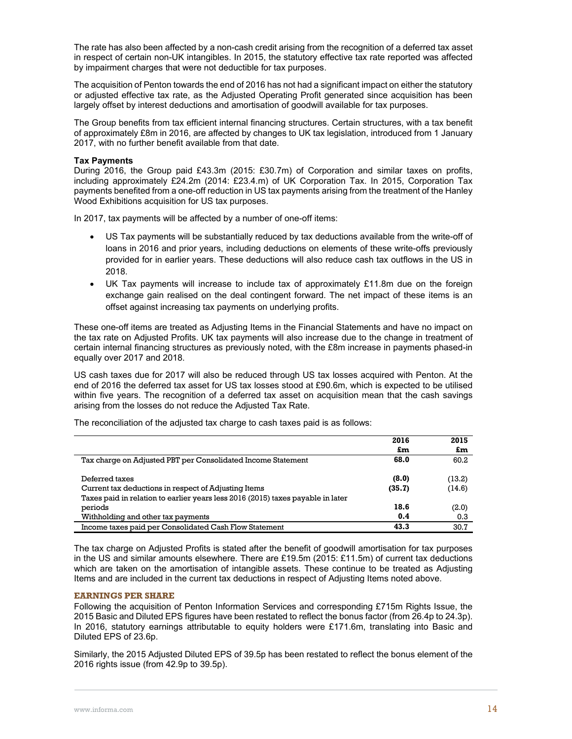The rate has also been affected by a non-cash credit arising from the recognition of a deferred tax asset in respect of certain non-UK intangibles. In 2015, the statutory effective tax rate reported was affected by impairment charges that were not deductible for tax purposes.

The acquisition of Penton towards the end of 2016 has not had a significant impact on either the statutory or adjusted effective tax rate, as the Adjusted Operating Profit generated since acquisition has been largely offset by interest deductions and amortisation of goodwill available for tax purposes.

The Group benefits from tax efficient internal financing structures. Certain structures, with a tax benefit of approximately £8m in 2016, are affected by changes to UK tax legislation, introduced from 1 January 2017, with no further benefit available from that date.

## **Tax Payments**

During 2016, the Group paid £43.3m (2015: £30.7m) of Corporation and similar taxes on profits, including approximately £24.2m (2014: £23.4.m) of UK Corporation Tax. In 2015, Corporation Tax payments benefited from a one-off reduction in US tax payments arising from the treatment of the Hanley Wood Exhibitions acquisition for US tax purposes.

In 2017, tax payments will be affected by a number of one-off items:

- US Tax payments will be substantially reduced by tax deductions available from the write-off of loans in 2016 and prior years, including deductions on elements of these write-offs previously provided for in earlier years. These deductions will also reduce cash tax outflows in the US in 2018.
- $\bullet$  UK Tax payments will increase to include tax of approximately £11.8m due on the foreign exchange gain realised on the deal contingent forward. The net impact of these items is an offset against increasing tax payments on underlying profits.

These one-off items are treated as Adjusting Items in the Financial Statements and have no impact on the tax rate on Adjusted Profits. UK tax payments will also increase due to the change in treatment of certain internal financing structures as previously noted, with the £8m increase in payments phased-in equally over 2017 and 2018.

US cash taxes due for 2017 will also be reduced through US tax losses acquired with Penton. At the end of 2016 the deferred tax asset for US tax losses stood at £90.6m, which is expected to be utilised within five years. The recognition of a deferred tax asset on acquisition mean that the cash savings arising from the losses do not reduce the Adjusted Tax Rate.

|                                                                                 | 2016   | 2015   |
|---------------------------------------------------------------------------------|--------|--------|
|                                                                                 | £m     | £m     |
| Tax charge on Adjusted PBT per Consolidated Income Statement                    | 68.0   | 60.2   |
| Deferred taxes                                                                  | (8.0)  | (13.2) |
| Current tax deductions in respect of Adjusting Items                            | (35.7) | (14.6) |
| Taxes paid in relation to earlier years less 2016 (2015) taxes payable in later |        |        |
| periods                                                                         | 18.6   | (2.0)  |
| Withholding and other tax payments                                              | 0.4    | 0.3    |
| Income taxes paid per Consolidated Cash Flow Statement                          | 43.3   | 30.7   |

The reconciliation of the adjusted tax charge to cash taxes paid is as follows:

The tax charge on Adjusted Profits is stated after the benefit of goodwill amortisation for tax purposes in the US and similar amounts elsewhere. There are £19.5m (2015: £11.5m) of current tax deductions which are taken on the amortisation of intangible assets. These continue to be treated as Adjusting Items and are included in the current tax deductions in respect of Adjusting Items noted above.

### **EARNINGS PER SHARE**

Following the acquisition of Penton Information Services and corresponding £715m Rights Issue, the 2015 Basic and Diluted EPS figures have been restated to reflect the bonus factor (from 26.4p to 24.3p). In 2016, statutory earnings attributable to equity holders were £171.6m, translating into Basic and Diluted EPS of 23.6p.

Similarly, the 2015 Adjusted Diluted EPS of 39.5p has been restated to reflect the bonus element of the 2016 rights issue (from 42.9p to 39.5p).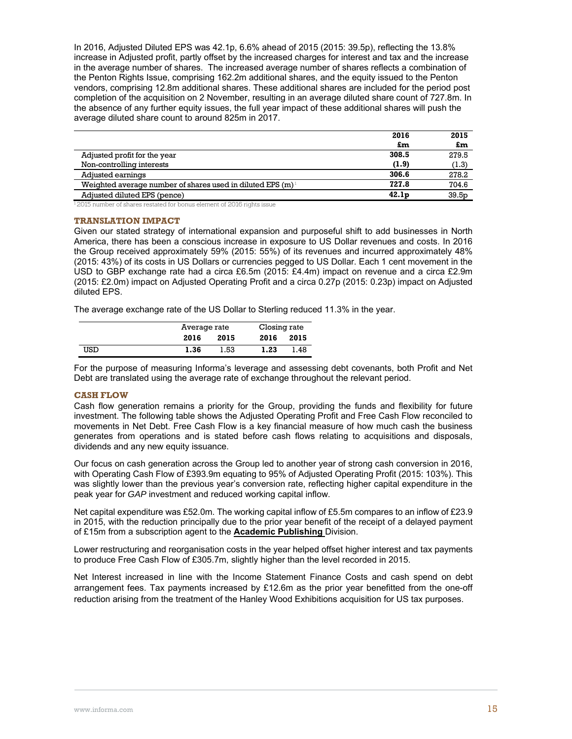In 2016, Adjusted Diluted EPS was 42.1p, 6.6% ahead of 2015 (2015: 39.5p), reflecting the 13.8% increase in Adjusted profit, partly offset by the increased charges for interest and tax and the increase in the average number of shares. The increased average number of shares reflects a combination of the Penton Rights Issue, comprising 162.2m additional shares, and the equity issued to the Penton vendors, comprising 12.8m additional shares. These additional shares are included for the period post completion of the acquisition on 2 November, resulting in an average diluted share count of 727.8m. In the absence of any further equity issues, the full year impact of these additional shares will push the average diluted share count to around 825m in 2017.

|                                                               | 2016              | 2015              |
|---------------------------------------------------------------|-------------------|-------------------|
|                                                               | £m                | £m                |
| Adjusted profit for the year                                  | 308.5             | 279.5             |
| Non-controlling interests                                     | (1.9)             | (1.3)             |
| Adjusted earnings                                             | 306.6             | 278.2             |
| Weighted average number of shares used in diluted EPS $(m)^1$ | 727.8             | 704.6             |
| Adjusted diluted EPS (pence)                                  | 42.1 <sub>p</sub> | 39.5 <sub>p</sub> |

<sup>1</sup> 2015 number of shares restated for bonus element of 2016 rights issue

## **TRANSLATION IMPACT**

Given our stated strategy of international expansion and purposeful shift to add businesses in North America, there has been a conscious increase in exposure to US Dollar revenues and costs. In 2016 the Group received approximately 59% (2015: 55%) of its revenues and incurred approximately 48% (2015: 43%) of its costs in US Dollars or currencies pegged to US Dollar. Each 1 cent movement in the USD to GBP exchange rate had a circa £6.5m (2015: £4.4m) impact on revenue and a circa £2.9m (2015: £2.0m) impact on Adjusted Operating Profit and a circa 0.27p (2015: 0.23p) impact on Adjusted diluted EPS.

The average exchange rate of the US Dollar to Sterling reduced 11.3% in the year.

|     | Average rate |      | Closing rate |      |
|-----|--------------|------|--------------|------|
|     | 2016         | 2015 |              | 2015 |
| USD | 1.36         | 1.53 | 1.23         | 1.48 |

For the purpose of measuring Informa's leverage and assessing debt covenants, both Profit and Net Debt are translated using the average rate of exchange throughout the relevant period.

### **CASH FLOW**

Cash flow generation remains a priority for the Group, providing the funds and flexibility for future investment. The following table shows the Adjusted Operating Profit and Free Cash Flow reconciled to movements in Net Debt. Free Cash Flow is a key financial measure of how much cash the business generates from operations and is stated before cash flows relating to acquisitions and disposals, dividends and any new equity issuance.

Our focus on cash generation across the Group led to another year of strong cash conversion in 2016, with Operating Cash Flow of £393.9m equating to 95% of Adjusted Operating Profit (2015: 103%). This was slightly lower than the previous year's conversion rate, reflecting higher capital expenditure in the peak year for *GAP* investment and reduced working capital inflow.

Net capital expenditure was £52.0m. The working capital inflow of £5.5m compares to an inflow of £23.9 in 2015, with the reduction principally due to the prior year benefit of the receipt of a delayed payment of £15m from a subscription agent to the **Academic Publishing** Division.

Lower restructuring and reorganisation costs in the year helped offset higher interest and tax payments to produce Free Cash Flow of £305.7m, slightly higher than the level recorded in 2015.

Net Interest increased in line with the Income Statement Finance Costs and cash spend on debt arrangement fees. Tax payments increased by £12.6m as the prior year benefitted from the one-off reduction arising from the treatment of the Hanley Wood Exhibitions acquisition for US tax purposes.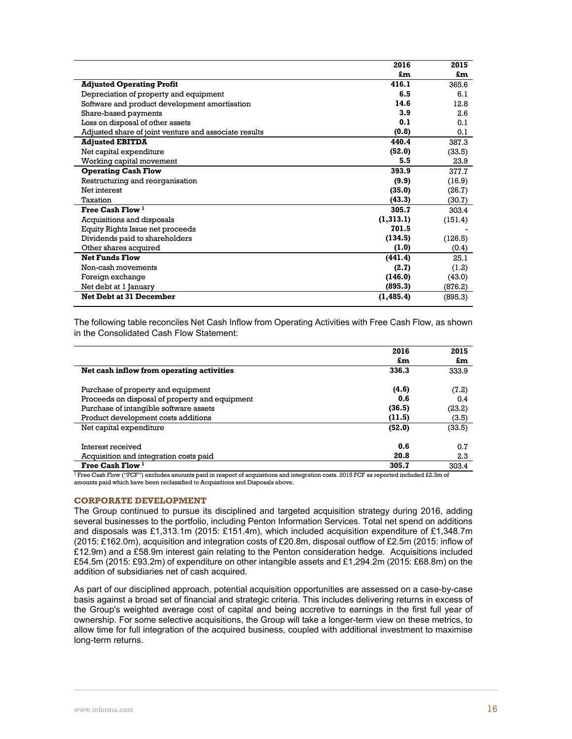|                                                       | 2016       | 2015    |
|-------------------------------------------------------|------------|---------|
|                                                       | £m         | £m      |
| <b>Adjusted Operating Profit</b>                      | 416.1      | 365.6   |
| Depreciation of property and equipment                | 6.5        | 6.1     |
| Software and product development amortisation         | 14.6       | 12.8    |
| Share-based payments                                  | 3.9        | 2.6     |
| Loss on disposal of other assets                      | 0.1        | 0.1     |
| Adjusted share of joint venture and associate results | (0.8)      | 0.1     |
| <b>Adjusted EBITDA</b>                                | 440.4      | 387.3   |
| Net capital expenditure                               | (52.0)     | (33.5)  |
| Working capital movement                              | 5.5        | 23.9    |
| <b>Operating Cash Flow</b>                            | 393.9      | 377.7   |
| Restructuring and reorganisation                      | (9.9)      | (16.9)  |
| Net interest                                          | (35.0)     | (26.7)  |
| Taxation                                              | (43.3)     | (30.7)  |
| Free Cash Flow <sup>1</sup>                           | 305.7      | 303.4   |
| Acquisitions and disposals                            | (1,313.1)  | (151.4) |
| Equity Rights Issue net proceeds                      | 701.5      |         |
| Dividends paid to shareholders                        | (134.5)    | (126.5) |
| Other shares acquired                                 | (1.0)      | (0.4)   |
| <b>Net Funds Flow</b>                                 | (441.4)    | 25.1    |
| Non-cash movements                                    | (2.7)      | (1.2)   |
| Foreign exchange                                      | (146.0)    | (43.0)  |
| Net debt at 1 January                                 | (895.3)    | (876.2) |
| <b>Net Debt at 31 December</b>                        | (1, 485.4) | (895.3) |
|                                                       |            |         |

The following table reconciles Net Cash Inflow from Operating Activities with Free Cash Flow, as shown in the Consolidated Cash Flow Statement:

|                                                | 2016   | 2015   |
|------------------------------------------------|--------|--------|
|                                                | £m     | £m     |
| Net cash inflow from operating activities      | 336.3  | 333.9  |
| Purchase of property and equipment             | (4.6)  | (7.2)  |
| Proceeds on disposal of property and equipment | 0.6    | 0.4    |
| Purchase of intangible software assets         | (36.5) | (23.2) |
| Product development costs additions            | (11.5) | (3.5)  |
| Net capital expenditure                        | (52.0) | (33.5) |
| Interest received                              | 0.6    | 0.7    |
| Acquisition and integration costs paid         | 20.8   | 2.3    |
| Free Cash Flow <sup>1</sup>                    | 305.7  | 303.4  |

<sup>1</sup> Free Cash Flow ("FCF") excludes amounts paid in respect of acquisitions and integration costs. 2015 FCF as reported included £2.3m of amounts paid which have been reclassified to Acquisitions and Disposals above.

## **CORPORATE DEVELOPMENT**

The Group continued to pursue its disciplined and targeted acquisition strategy during 2016, adding several businesses to the portfolio, including Penton Information Services. Total net spend on additions and disposals was £1,313.1m (2015: £151.4m), which included acquisition expenditure of £1,348.7m (2015: £162.0m), acquisition and integration costs of £20.8m, disposal outflow of £2.5m (2015: inflow of £12.9m) and a £58.9m interest gain relating to the Penton consideration hedge. Acquisitions included £54.5m (2015: £93.2m) of expenditure on other intangible assets and £1,294.2m (2015: £68.8m) on the addition of subsidiaries net of cash acquired.

As part of our disciplined approach, potential acquisition opportunities are assessed on a case-by-case basis against a broad set of financial and strategic criteria. This includes delivering returns in excess of the Group's weighted average cost of capital and being accretive to earnings in the first full year of ownership. For some selective acquisitions, the Group will take a longer-term view on these metrics, to allow time for full integration of the acquired business, coupled with additional investment to maximise long-term returns.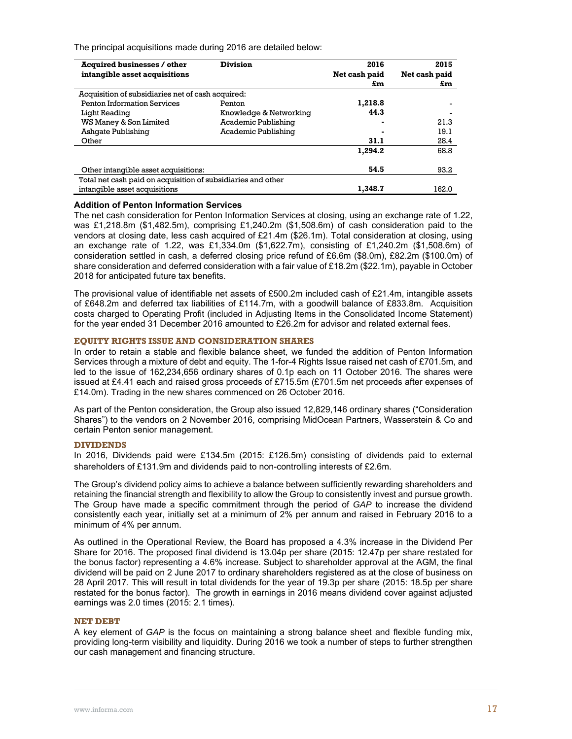The principal acquisitions made during 2016 are detailed below:

| <b>Acquired businesses / other</b><br>intangible asset acquisitions | <b>Division</b>        | 2016<br>Net cash paid<br>£m | 2015<br>Net cash paid<br>£m |
|---------------------------------------------------------------------|------------------------|-----------------------------|-----------------------------|
| Acquisition of subsidiaries net of cash acquired:                   |                        |                             |                             |
| <b>Penton Information Services</b>                                  | Penton                 | 1,218.8                     |                             |
| Light Reading                                                       | Knowledge & Networking | 44.3                        |                             |
| WS Maney & Son Limited                                              | Academic Publishing    |                             | 21.3                        |
| Ashqate Publishing                                                  | Academic Publishing    |                             | 19.1                        |
| Other                                                               |                        | 31.1                        | 28.4                        |
|                                                                     |                        | 1.294.2                     | 68.8                        |
| Other intangible asset acquisitions:                                |                        | 54.5                        | 93.2                        |
| Total net cash paid on acquisition of subsidiaries and other        |                        |                             |                             |
| intangible asset acquisitions                                       |                        | 1.348.7                     | 162.0                       |

### **Addition of Penton Information Services**

The net cash consideration for Penton Information Services at closing, using an exchange rate of 1.22, was £1,218.8m (\$1,482.5m), comprising £1,240.2m (\$1,508.6m) of cash consideration paid to the vendors at closing date, less cash acquired of £21.4m (\$26.1m). Total consideration at closing, using an exchange rate of 1.22, was £1,334.0m (\$1,622.7m), consisting of £1,240.2m (\$1,508.6m) of consideration settled in cash, a deferred closing price refund of £6.6m (\$8.0m), £82.2m (\$100.0m) of share consideration and deferred consideration with a fair value of £18.2m (\$22.1m), payable in October 2018 for anticipated future tax benefits.

The provisional value of identifiable net assets of £500.2m included cash of £21.4m, intangible assets of £648.2m and deferred tax liabilities of £114.7m, with a goodwill balance of £833.8m. Acquisition costs charged to Operating Profit (included in Adjusting Items in the Consolidated Income Statement) for the year ended 31 December 2016 amounted to £26.2m for advisor and related external fees.

### **EQUITY RIGHTS ISSUE AND CONSIDERATION SHARES**

In order to retain a stable and flexible balance sheet, we funded the addition of Penton Information Services through a mixture of debt and equity. The 1-for-4 Rights Issue raised net cash of £701.5m, and led to the issue of 162,234,656 ordinary shares of 0.1p each on 11 October 2016. The shares were issued at £4.41 each and raised gross proceeds of £715.5m (£701.5m net proceeds after expenses of £14.0m). Trading in the new shares commenced on 26 October 2016.

As part of the Penton consideration, the Group also issued 12,829,146 ordinary shares ("Consideration Shares") to the vendors on 2 November 2016, comprising MidOcean Partners, Wasserstein & Co and certain Penton senior management.

### **DIVIDENDS**

In 2016, Dividends paid were £134.5m (2015: £126.5m) consisting of dividends paid to external shareholders of £131.9m and dividends paid to non-controlling interests of £2.6m.

The Group's dividend policy aims to achieve a balance between sufficiently rewarding shareholders and retaining the financial strength and flexibility to allow the Group to consistently invest and pursue growth. The Group have made a specific commitment through the period of *GAP* to increase the dividend consistently each year, initially set at a minimum of 2% per annum and raised in February 2016 to a minimum of 4% per annum.

As outlined in the Operational Review, the Board has proposed a 4.3% increase in the Dividend Per Share for 2016. The proposed final dividend is 13.04p per share (2015: 12.47p per share restated for the bonus factor) representing a 4.6% increase. Subject to shareholder approval at the AGM, the final dividend will be paid on 2 June 2017 to ordinary shareholders registered as at the close of business on 28 April 2017. This will result in total dividends for the year of 19.3p per share (2015: 18.5p per share restated for the bonus factor). The growth in earnings in 2016 means dividend cover against adjusted earnings was 2.0 times (2015: 2.1 times).

## **NET DEBT**

A key element of *GAP* is the focus on maintaining a strong balance sheet and flexible funding mix, providing long-term visibility and liquidity. During 2016 we took a number of steps to further strengthen our cash management and financing structure.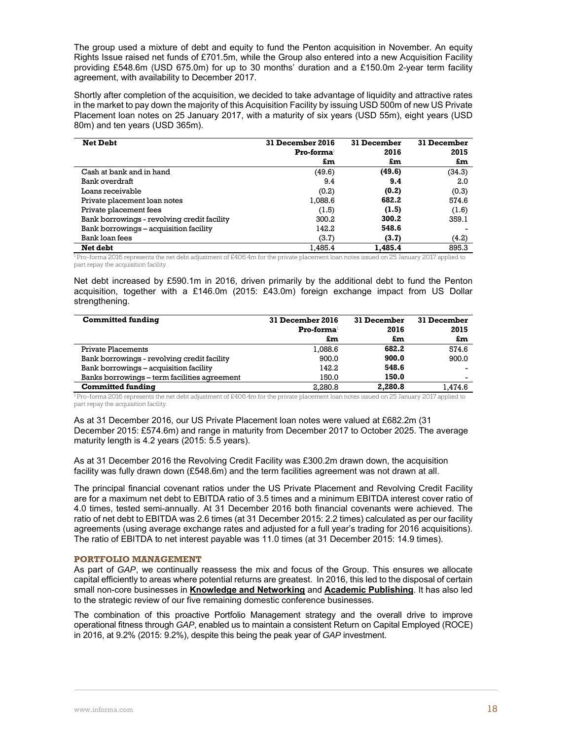The group used a mixture of debt and equity to fund the Penton acquisition in November. An equity Rights Issue raised net funds of £701.5m, while the Group also entered into a new Acquisition Facility providing £548.6m (USD 675.0m) for up to 30 months' duration and a £150.0m 2-year term facility agreement, with availability to December 2017.

Shortly after completion of the acquisition, we decided to take advantage of liquidity and attractive rates in the market to pay down the majority of this Acquisition Facility by issuing USD 500m of new US Private Placement loan notes on 25 January 2017, with a maturity of six years (USD 55m), eight years (USD 80m) and ten years (USD 365m).

| <b>Net Debt</b>                             | 31 December 2016       | 31 December | 31 December |
|---------------------------------------------|------------------------|-------------|-------------|
|                                             | Pro-forma <sup>1</sup> | 2016        | 2015        |
|                                             | £m                     | £m          | £m          |
| Cash at bank and in hand                    | (49.6)                 | (49.6)      | (34.3)      |
| Bank overdraft                              | 9.4                    | 9.4         | 2.0         |
| Loans receivable                            | (0.2)                  | (0.2)       | (0.3)       |
| Private placement loan notes                | 1,088.6                | 682.2       | 574.6       |
| Private placement fees                      | (1.5)                  | (1.5)       | (1.6)       |
| Bank borrowings - revolving credit facility | 300.2                  | 300.2       | 359.1       |
| Bank borrowings – acquisition facility      | 142.2                  | 548.6       |             |
| Bank loan fees                              | (3.7)                  | (3.7)       | (4.2)       |
| Net debt                                    | 1,485.4                | 1.485.4     | 895.3       |

<sup>1</sup> Pro-forma 2016 represents the net debt adjustment of £406.4m for the private placement loan notes issued on 25 January 2017 applied to part repay the acquisition facility.

Net debt increased by £590.1m in 2016, driven primarily by the additional debt to fund the Penton acquisition, together with a £146.0m (2015: £43.0m) foreign exchange impact from US Dollar strengthening.

| <b>Committed funding</b>                     | <b>31 December 2016</b>                         | 31 December | 31 December              |
|----------------------------------------------|-------------------------------------------------|-------------|--------------------------|
|                                              | $\mathbf{Pro}\text{-}\mathbf{form}\mathbf{a}^1$ | 2016        | 2015                     |
|                                              | £m                                              | £m          | £m                       |
| Private Placements                           | 1.088.6                                         | 682.2       | 574.6                    |
| Bank borrowings - revolving credit facility  | 900.0                                           | 900.0       | 900.0                    |
| Bank borrowings - acquisition facility       | 142.2                                           | 548.6       |                          |
| Banks borrowings – term facilities agreement | 150.0                                           | 150.0       | $\overline{\phantom{a}}$ |
| Committed funding                            | 2.280.8                                         | 2.280.8     | 1.474.6                  |

1 Pro-forma 2016 represents the net debt adjustment of £406.4m for the private placement loan notes issued on 25 January 2017 applied to part repay the acquisition facility.

As at 31 December 2016, our US Private Placement loan notes were valued at £682.2m (31 December 2015: £574.6m) and range in maturity from December 2017 to October 2025. The average maturity length is 4.2 years (2015: 5.5 years).

As at 31 December 2016 the Revolving Credit Facility was £300.2m drawn down, the acquisition facility was fully drawn down (£548.6m) and the term facilities agreement was not drawn at all.

The principal financial covenant ratios under the US Private Placement and Revolving Credit Facility are for a maximum net debt to EBITDA ratio of 3.5 times and a minimum EBITDA interest cover ratio of 4.0 times, tested semi-annually. At 31 December 2016 both financial covenants were achieved. The ratio of net debt to EBITDA was 2.6 times (at 31 December 2015: 2.2 times) calculated as per our facility agreements (using average exchange rates and adjusted for a full year's trading for 2016 acquisitions). The ratio of EBITDA to net interest payable was 11.0 times (at 31 December 2015: 14.9 times).

## **PORTFOLIO MANAGEMENT**

As part of *GAP*, we continually reassess the mix and focus of the Group. This ensures we allocate capital efficiently to areas where potential returns are greatest. In 2016, this led to the disposal of certain small non-core businesses in **Knowledge and Networking** and **Academic Publishing**. It has also led to the strategic review of our five remaining domestic conference businesses.

The combination of this proactive Portfolio Management strategy and the overall drive to improve operational fitness through *GAP*, enabled us to maintain a consistent Return on Capital Employed (ROCE) in 2016, at 9.2% (2015: 9.2%), despite this being the peak year of *GAP* investment.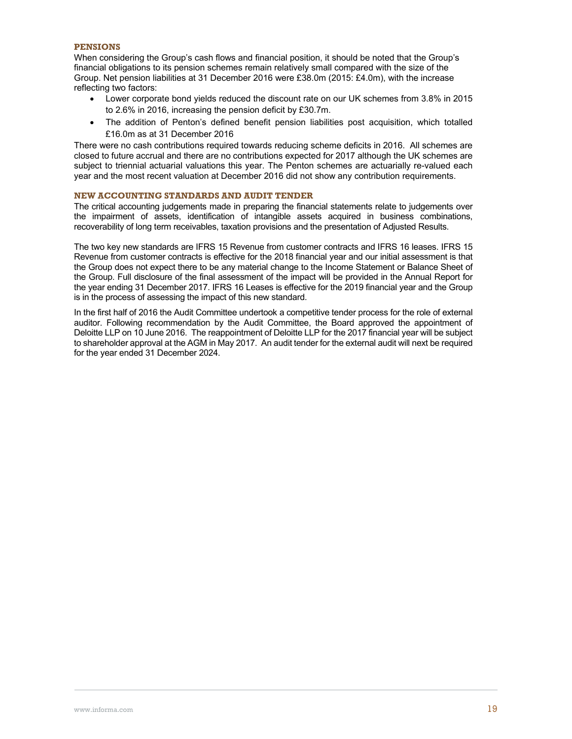## **PENSIONS**

When considering the Group's cash flows and financial position, it should be noted that the Group's financial obligations to its pension schemes remain relatively small compared with the size of the Group. Net pension liabilities at 31 December 2016 were £38.0m (2015: £4.0m), with the increase reflecting two factors:

- Lower corporate bond yields reduced the discount rate on our UK schemes from 3.8% in 2015 to 2.6% in 2016, increasing the pension deficit by £30.7m.
- The addition of Penton's defined benefit pension liabilities post acquisition, which totalled £16.0m as at 31 December 2016

There were no cash contributions required towards reducing scheme deficits in 2016. All schemes are closed to future accrual and there are no contributions expected for 2017 although the UK schemes are subject to triennial actuarial valuations this year. The Penton schemes are actuarially re-valued each year and the most recent valuation at December 2016 did not show any contribution requirements.

## **NEW ACCOUNTING STANDARDS AND AUDIT TENDER**

The critical accounting judgements made in preparing the financial statements relate to judgements over the impairment of assets, identification of intangible assets acquired in business combinations, recoverability of long term receivables, taxation provisions and the presentation of Adjusted Results.

The two key new standards are IFRS 15 Revenue from customer contracts and IFRS 16 leases. IFRS 15 Revenue from customer contracts is effective for the 2018 financial year and our initial assessment is that the Group does not expect there to be any material change to the Income Statement or Balance Sheet of the Group. Full disclosure of the final assessment of the impact will be provided in the Annual Report for the year ending 31 December 2017. IFRS 16 Leases is effective for the 2019 financial year and the Group is in the process of assessing the impact of this new standard.

In the first half of 2016 the Audit Committee undertook a competitive tender process for the role of external auditor. Following recommendation by the Audit Committee, the Board approved the appointment of Deloitte LLP on 10 June 2016. The reappointment of Deloitte LLP for the 2017 financial year will be subject to shareholder approval at the AGM in May 2017. An audit tender for the external audit will next be required for the year ended 31 December 2024.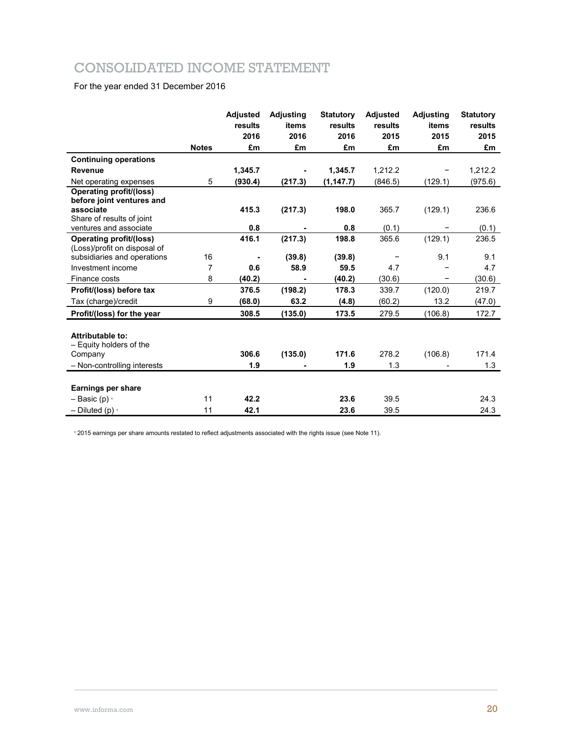## CONSOLIDATED INCOME STATEMENT

## For the year ended 31 December 2016

|                                                                                       | <b>Notes</b> | <b>Adjusted</b><br>results<br>2016<br>£m | Adjusting<br>items<br>2016<br>£m | <b>Statutory</b><br>results<br>2016<br>£m | <b>Adjusted</b><br>results<br>2015<br>£m | <b>Adjusting</b><br>items<br>2015<br>£m | <b>Statutory</b><br>results<br>2015<br>£m |
|---------------------------------------------------------------------------------------|--------------|------------------------------------------|----------------------------------|-------------------------------------------|------------------------------------------|-----------------------------------------|-------------------------------------------|
|                                                                                       |              |                                          |                                  |                                           |                                          |                                         |                                           |
| <b>Continuing operations</b><br>Revenue                                               |              | 1,345.7                                  |                                  | 1,345.7                                   | 1,212.2                                  |                                         | 1,212.2                                   |
| Net operating expenses                                                                | 5            | (930.4)                                  | (217.3)                          | (1, 147.7)                                | (846.5)                                  | (129.1)                                 | (975.6)                                   |
| <b>Operating profit/(loss)</b>                                                        |              |                                          |                                  |                                           |                                          |                                         |                                           |
| before joint ventures and                                                             |              |                                          |                                  |                                           |                                          |                                         |                                           |
| associate                                                                             |              | 415.3                                    | (217.3)                          | 198.0                                     | 365.7                                    | (129.1)                                 | 236.6                                     |
| Share of results of joint                                                             |              |                                          |                                  |                                           |                                          |                                         |                                           |
| ventures and associate                                                                |              | 0.8                                      |                                  | 0.8                                       | (0.1)                                    |                                         | (0.1)                                     |
| <b>Operating profit/(loss)</b>                                                        |              | 416.1                                    | (217.3)                          | 198.8                                     | 365.6                                    | (129.1)                                 | 236.5                                     |
| (Loss)/profit on disposal of<br>subsidiaries and operations                           | 16           |                                          | (39.8)                           | (39.8)                                    |                                          | 9.1                                     | 9.1                                       |
| Investment income                                                                     |              |                                          | 58.9                             | 59.5                                      |                                          |                                         |                                           |
|                                                                                       | 7            | 0.6                                      |                                  |                                           | 4.7                                      |                                         | 4.7                                       |
| Finance costs                                                                         | 8            | (40.2)                                   |                                  | (40.2)                                    | (30.6)                                   | -                                       | (30.6)                                    |
| Profit/(loss) before tax                                                              |              | 376.5                                    | (198.2)                          | 178.3                                     | 339.7                                    | (120.0)                                 | 219.7                                     |
| Tax (charge)/credit                                                                   | 9            | (68.0)                                   | 63.2                             | (4.8)                                     | (60.2)                                   | 13.2                                    | (47.0)                                    |
| Profit/(loss) for the year                                                            |              | 308.5                                    | (135.0)                          | 173.5                                     | 279.5                                    | (106.8)                                 | 172.7                                     |
| Attributable to:<br>- Equity holders of the<br>Company<br>- Non-controlling interests |              | 306.6<br>1.9                             | (135.0)                          | 171.6<br>1.9                              | 278.2<br>1.3                             | (106.8)                                 | 171.4<br>1.3                              |
|                                                                                       |              |                                          |                                  |                                           |                                          |                                         |                                           |
| <b>Earnings per share</b>                                                             |              |                                          |                                  |                                           |                                          |                                         |                                           |
| $-$ Basic (p) $\cdot$                                                                 | 11           | 42.2                                     |                                  | 23.6                                      | 39.5                                     |                                         | 24.3                                      |
| $-$ Diluted (p) $\cdot$                                                               | 11           | 42.1                                     |                                  | 23.6                                      | 39.5                                     |                                         | 24.3                                      |

<sup>1</sup> 2015 earnings per share amounts restated to reflect adjustments associated with the rights issue (see Note 11).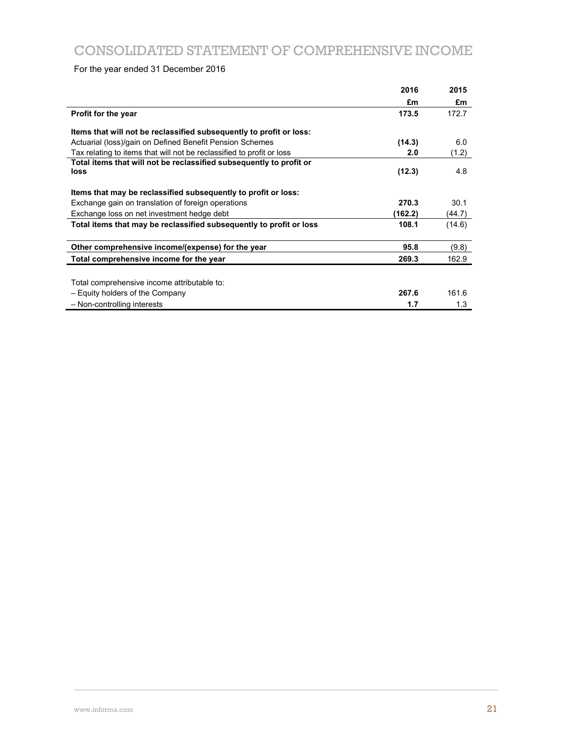For the year ended 31 December 2016

|                                                                       | 2016    | 2015   |
|-----------------------------------------------------------------------|---------|--------|
|                                                                       | £m      | £m     |
| Profit for the year                                                   | 173.5   | 172.7  |
| Items that will not be reclassified subsequently to profit or loss:   |         |        |
| Actuarial (loss)/gain on Defined Benefit Pension Schemes              | (14.3)  | 6.0    |
| Tax relating to items that will not be reclassified to profit or loss | 2.0     | (1.2)  |
| Total items that will not be reclassified subsequently to profit or   |         |        |
| loss                                                                  | (12.3)  | 4.8    |
| Items that may be reclassified subsequently to profit or loss:        |         |        |
| Exchange gain on translation of foreign operations                    | 270.3   | 30.1   |
| Exchange loss on net investment hedge debt                            | (162.2) | (44.7) |
| Total items that may be reclassified subsequently to profit or loss   | 108.1   | (14.6) |
| Other comprehensive income/(expense) for the year                     | 95.8    | (9.8)  |
| Total comprehensive income for the year                               | 269.3   | 162.9  |
|                                                                       |         |        |
| Total comprehensive income attributable to:                           |         |        |
| - Equity holders of the Company                                       | 267.6   | 161.6  |
| - Non-controlling interests                                           | 1.7     | 1.3    |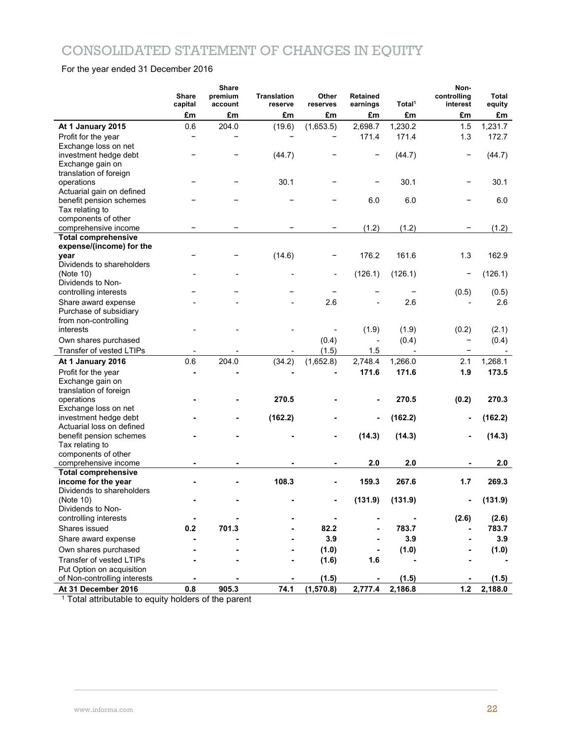## CONSOLIDATED STATEMENT OF CHANGES IN EQUITY

## For the year ended 31 December 2016

|                                                   | Share<br>capital | <b>Share</b><br>premium<br>account | <b>Translation</b><br>reserve | Other<br>reserves | Retained<br>earnings | Total <sup>1</sup> | Non-<br>controlling<br>interest | Total<br>equity |
|---------------------------------------------------|------------------|------------------------------------|-------------------------------|-------------------|----------------------|--------------------|---------------------------------|-----------------|
|                                                   | £m               | £m                                 | £m                            | £m                | £m                   | £m                 | £m                              | £m              |
| At 1 January 2015                                 | 0.6              | 204.0                              | (19.6)                        | (1,653.5)         | 2,698.7              | 1,230.2            | 1.5                             | 1,231.7         |
| Profit for the year                               |                  |                                    |                               |                   | 171.4                | 171.4              | 1.3                             | 172.7           |
| Exchange loss on net                              |                  |                                    |                               |                   |                      |                    |                                 |                 |
| investment hedge debt                             |                  |                                    | (44.7)                        |                   | -                    | (44.7)             | -                               | (44.7)          |
| Exchange gain on                                  |                  |                                    |                               |                   |                      |                    |                                 |                 |
| translation of foreign                            |                  |                                    |                               |                   |                      |                    |                                 |                 |
| operations<br>Actuarial gain on defined           |                  |                                    | 30.1                          |                   |                      | 30.1               | -                               | 30.1            |
| benefit pension schemes                           |                  |                                    |                               |                   | 6.0                  | 6.0                |                                 | 6.0             |
| Tax relating to                                   |                  |                                    |                               |                   |                      |                    |                                 |                 |
| components of other                               |                  |                                    |                               |                   |                      |                    |                                 |                 |
| comprehensive income                              |                  |                                    |                               |                   | (1.2)                | (1.2)              |                                 | (1.2)           |
| <b>Total comprehensive</b>                        |                  |                                    |                               |                   |                      |                    |                                 |                 |
| expense/(income) for the                          |                  |                                    |                               |                   |                      |                    |                                 |                 |
| year<br>Dividends to shareholders                 |                  |                                    | (14.6)                        |                   | 176.2                | 161.6              | 1.3                             | 162.9           |
| (Note 10)                                         |                  |                                    |                               |                   | (126.1)              | (126.1)            |                                 | (126.1)         |
| Dividends to Non-                                 |                  |                                    |                               |                   |                      |                    |                                 |                 |
| controlling interests                             |                  |                                    |                               |                   |                      |                    | (0.5)                           | (0.5)           |
| Share award expense                               |                  |                                    |                               | 2.6               |                      | 2.6                |                                 | 2.6             |
| Purchase of subsidiary                            |                  |                                    |                               |                   |                      |                    |                                 |                 |
| from non-controlling                              |                  |                                    |                               |                   |                      |                    |                                 |                 |
| interests                                         |                  |                                    |                               |                   | (1.9)                | (1.9)              | (0.2)                           | (2.1)           |
| Own shares purchased                              |                  |                                    |                               | (0.4)             |                      | (0.4)              | -                               | (0.4)           |
| Transfer of vested LTIPs                          |                  |                                    |                               | (1.5)             | 1.5                  |                    | $\overline{\phantom{a}}$        |                 |
| At 1 January 2016                                 | 0.6              | 204.0                              | (34.2)                        | (1,652.8)         | 2,748.4              | 1,266.0            | 2.1                             | 1,268.1         |
| Profit for the year                               |                  |                                    |                               |                   | 171.6                | 171.6              | 1.9                             | 173.5           |
| Exchange gain on                                  |                  |                                    |                               |                   |                      |                    |                                 |                 |
| translation of foreign<br>operations              |                  |                                    | 270.5                         |                   |                      | 270.5              | (0.2)                           | 270.3           |
| Exchange loss on net                              |                  |                                    |                               |                   |                      |                    |                                 |                 |
| investment hedge debt                             |                  |                                    | (162.2)                       |                   |                      | (162.2)            |                                 | (162.2)         |
| Actuarial loss on defined                         |                  |                                    |                               |                   |                      |                    |                                 |                 |
| benefit pension schemes                           |                  |                                    |                               |                   | (14.3)               | (14.3)             |                                 | (14.3)          |
| Tax relating to                                   |                  |                                    |                               |                   |                      |                    |                                 |                 |
| components of other                               |                  |                                    |                               |                   |                      |                    |                                 |                 |
| comprehensive income                              |                  |                                    |                               |                   | 2.0                  | 2.0                |                                 | 2.0             |
| <b>Total comprehensive</b><br>income for the year |                  |                                    | 108.3                         |                   | 159.3                | 267.6              | 1.7                             | 269.3           |
| Dividends to shareholders                         |                  |                                    |                               |                   |                      |                    |                                 |                 |
| (Note 10)                                         |                  |                                    |                               |                   | (131.9)              | (131.9)            |                                 | (131.9)         |
| Dividends to Non-                                 |                  |                                    |                               |                   |                      |                    |                                 |                 |
| controlling interests                             |                  |                                    |                               |                   |                      |                    | (2.6)                           | (2.6)           |
| Shares issued                                     | 0.2              | 701.3                              |                               | 82.2              |                      | 783.7              |                                 | 783.7           |
| Share award expense                               |                  |                                    |                               | 3.9               |                      | 3.9                |                                 | 3.9             |
| Own shares purchased                              |                  |                                    |                               | (1.0)             |                      | (1.0)              |                                 | (1.0)           |
| Transfer of vested LTIPs                          |                  |                                    |                               | (1.6)             | 1.6                  |                    |                                 |                 |
| Put Option on acquisition                         |                  |                                    |                               |                   |                      |                    |                                 |                 |
| of Non-controlling interests                      |                  |                                    |                               | (1.5)             |                      | (1.5)              |                                 | (1.5)           |
| At 31 December 2016                               | 0.8              | 905.3                              | 74.1                          | (1,570.8)         | 2,777.4              | 2,186.8            | $1.2$                           | 2,188.0         |

<sup>1</sup> Total attributable to equity holders of the parent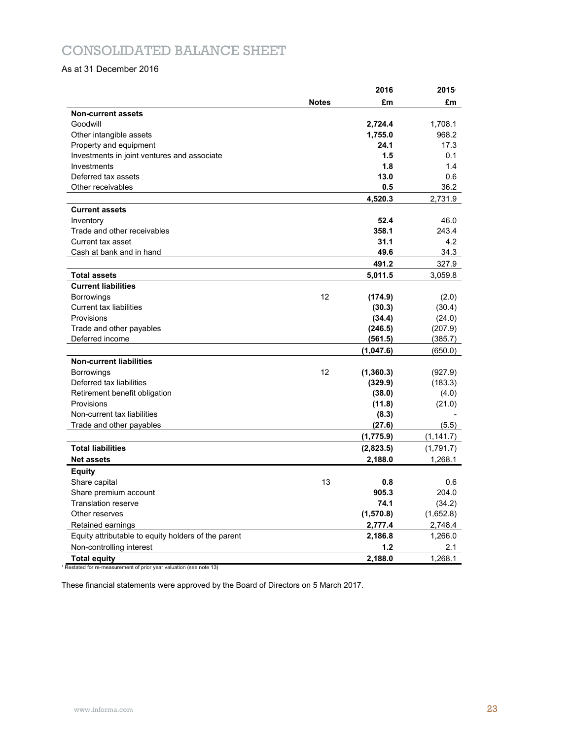## CONSOLIDATED BALANCE SHEET

## As at 31 December 2016

|                                                     |              | 2016       | $2015^{\circ}$ |
|-----------------------------------------------------|--------------|------------|----------------|
|                                                     | <b>Notes</b> | £m         | £m             |
| <b>Non-current assets</b>                           |              |            |                |
| Goodwill                                            |              | 2,724.4    | 1,708.1        |
| Other intangible assets                             |              | 1,755.0    | 968.2          |
| Property and equipment                              |              | 24.1       | 17.3           |
| Investments in joint ventures and associate         |              | 1.5        | 0.1            |
| Investments                                         |              | 1.8        | 1.4            |
| Deferred tax assets                                 |              | 13.0       | 0.6            |
| Other receivables                                   |              | 0.5        | 36.2           |
|                                                     |              | 4,520.3    | 2,731.9        |
| <b>Current assets</b>                               |              |            |                |
| Inventory                                           |              | 52.4       | 46.0           |
| Trade and other receivables                         |              | 358.1      | 243.4          |
| Current tax asset                                   |              | 31.1       | 4.2            |
| Cash at bank and in hand                            |              | 49.6       | 34.3           |
|                                                     |              | 491.2      | 327.9          |
| <b>Total assets</b>                                 |              | 5,011.5    | 3,059.8        |
| <b>Current liabilities</b>                          |              |            |                |
| <b>Borrowings</b>                                   | 12           | (174.9)    | (2.0)          |
| <b>Current tax liabilities</b>                      |              | (30.3)     | (30.4)         |
| Provisions                                          |              | (34.4)     | (24.0)         |
| Trade and other payables                            |              | (246.5)    | (207.9)        |
| Deferred income                                     |              | (561.5)    | (385.7)        |
|                                                     |              | (1,047.6)  | (650.0)        |
| <b>Non-current liabilities</b>                      |              |            |                |
| <b>Borrowings</b>                                   | 12           | (1, 360.3) | (927.9)        |
| Deferred tax liabilities                            |              | (329.9)    | (183.3)        |
| Retirement benefit obligation                       |              | (38.0)     | (4.0)          |
| Provisions                                          |              | (11.8)     | (21.0)         |
| Non-current tax liabilities                         |              | (8.3)      |                |
| Trade and other payables                            |              | (27.6)     | (5.5)          |
|                                                     |              | (1,775.9)  | (1, 141.7)     |
| <b>Total liabilities</b>                            |              | (2,823.5)  | (1,791.7)      |
| <b>Net assets</b>                                   |              | 2,188.0    | 1,268.1        |
| <b>Equity</b>                                       |              |            |                |
| Share capital                                       | 13           | 0.8        | 0.6            |
| Share premium account                               |              | 905.3      | 204.0          |
| <b>Translation reserve</b>                          |              | 74.1       | (34.2)         |
| Other reserves                                      |              | (1,570.8)  | (1,652.8)      |
| Retained earnings                                   |              | 2,777.4    | 2,748.4        |
| Equity attributable to equity holders of the parent |              | 2,186.8    | 1,266.0        |
| Non-controlling interest                            |              | 1.2        | 2.1            |
| <b>Total equity</b>                                 |              | 2,188.0    | 1,268.1        |

<sup>1</sup> Restated for re-measurement of prior year valuation (see note 13)

These financial statements were approved by the Board of Directors on 5 March 2017.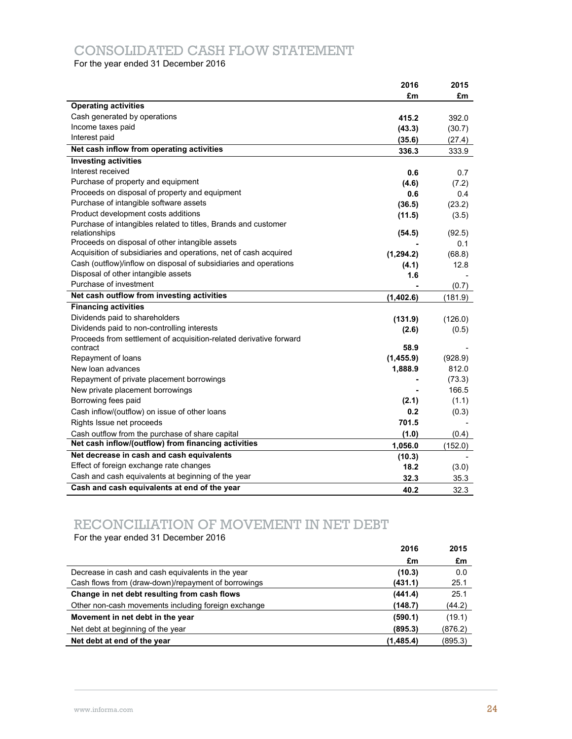## CONSOLIDATED CASH FLOW STATEMENT

For the year ended 31 December 2016

|                                                                    | 2016       | 2015    |
|--------------------------------------------------------------------|------------|---------|
|                                                                    | £m         | £m      |
| <b>Operating activities</b>                                        |            |         |
| Cash generated by operations                                       | 415.2      | 392.0   |
| Income taxes paid                                                  | (43.3)     | (30.7)  |
| Interest paid                                                      | (35.6)     | (27.4)  |
| Net cash inflow from operating activities                          | 336.3      | 333.9   |
| <b>Investing activities</b>                                        |            |         |
| Interest received                                                  | 0.6        | 0.7     |
| Purchase of property and equipment                                 | (4.6)      | (7.2)   |
| Proceeds on disposal of property and equipment                     | 0.6        | 0.4     |
| Purchase of intangible software assets                             | (36.5)     | (23.2)  |
| Product development costs additions                                | (11.5)     | (3.5)   |
| Purchase of intangibles related to titles, Brands and customer     |            |         |
| relationships                                                      | (54.5)     | (92.5)  |
| Proceeds on disposal of other intangible assets                    |            | 0.1     |
| Acquisition of subsidiaries and operations, net of cash acquired   | (1, 294.2) | (68.8)  |
| Cash (outflow)/inflow on disposal of subsidiaries and operations   | (4.1)      | 12.8    |
| Disposal of other intangible assets                                | 1.6        |         |
| Purchase of investment                                             |            | (0.7)   |
| Net cash outflow from investing activities                         | (1,402.6)  | (181.9) |
| <b>Financing activities</b>                                        |            |         |
| Dividends paid to shareholders                                     | (131.9)    | (126.0) |
| Dividends paid to non-controlling interests                        | (2.6)      | (0.5)   |
| Proceeds from settlement of acquisition-related derivative forward |            |         |
| contract                                                           | 58.9       |         |
| Repayment of loans                                                 | (1,455.9)  | (928.9) |
| New loan advances                                                  | 1,888.9    | 812.0   |
| Repayment of private placement borrowings                          |            | (73.3)  |
| New private placement borrowings                                   |            | 166.5   |
| Borrowing fees paid                                                | (2.1)      | (1.1)   |
| Cash inflow/(outflow) on issue of other loans                      | 0.2        | (0.3)   |
| Rights Issue net proceeds                                          | 701.5      |         |
| Cash outflow from the purchase of share capital                    | (1.0)      | (0.4)   |
| Net cash inflow/(outflow) from financing activities                | 1,056.0    | (152.0) |
| Net decrease in cash and cash equivalents                          | (10.3)     |         |
| Effect of foreign exchange rate changes                            | 18.2       | (3.0)   |
| Cash and cash equivalents at beginning of the year                 | 32.3       | 35.3    |
| Cash and cash equivalents at end of the year                       | 40.2       | 32.3    |

## RECONCILIATION OF MOVEMENT IN NET DEBT

For the year ended 31 December 2016

|                                                     | 2016       | 2015    |
|-----------------------------------------------------|------------|---------|
|                                                     | £m         | £m      |
| Decrease in cash and cash equivalents in the year   | (10.3)     | 0.0     |
| Cash flows from (draw-down)/repayment of borrowings | (431.1)    | 25.1    |
| Change in net debt resulting from cash flows        | (441.4)    | 25.1    |
| Other non-cash movements including foreign exchange | (148.7)    | (44.2)  |
| Movement in net debt in the year                    | (590.1)    | (19.1)  |
| Net debt at beginning of the year                   | (895.3)    | (876.2) |
| Net debt at end of the year                         | (1, 485.4) | (895.3) |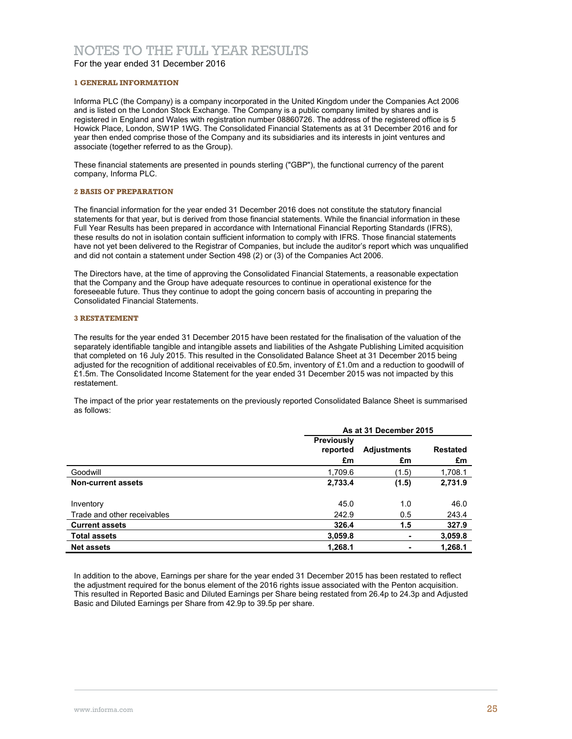## NOTES TO THE FULL YEAR RESULTS

For the year ended 31 December 2016

### **1 GENERAL INFORMATION**

Informa PLC (the Company) is a company incorporated in the United Kingdom under the Companies Act 2006 and is listed on the London Stock Exchange. The Company is a public company limited by shares and is registered in England and Wales with registration number 08860726. The address of the registered office is 5 Howick Place, London, SW1P 1WG. The Consolidated Financial Statements as at 31 December 2016 and for year then ended comprise those of the Company and its subsidiaries and its interests in joint ventures and associate (together referred to as the Group).

These financial statements are presented in pounds sterling ("GBP"), the functional currency of the parent company, Informa PLC.

### **2 BASIS OF PREPARATION**

The financial information for the year ended 31 December 2016 does not constitute the statutory financial statements for that year, but is derived from those financial statements. While the financial information in these Full Year Results has been prepared in accordance with International Financial Reporting Standards (IFRS), these results do not in isolation contain sufficient information to comply with IFRS. Those financial statements have not yet been delivered to the Registrar of Companies, but include the auditor's report which was unqualified and did not contain a statement under Section 498 (2) or (3) of the Companies Act 2006.

The Directors have, at the time of approving the Consolidated Financial Statements, a reasonable expectation that the Company and the Group have adequate resources to continue in operational existence for the foreseeable future. Thus they continue to adopt the going concern basis of accounting in preparing the Consolidated Financial Statements.

### **3 RESTATEMENT**

The results for the year ended 31 December 2015 have been restated for the finalisation of the valuation of the separately identifiable tangible and intangible assets and liabilities of the Ashgate Publishing Limited acquisition that completed on 16 July 2015. This resulted in the Consolidated Balance Sheet at 31 December 2015 being adjusted for the recognition of additional receivables of £0.5m, inventory of £1.0m and a reduction to goodwill of £1.5m. The Consolidated Income Statement for the year ended 31 December 2015 was not impacted by this restatement.

The impact of the prior year restatements on the previously reported Consolidated Balance Sheet is summarised as follows:

|                             | As at 31 December 2015              |                          |                       |  |
|-----------------------------|-------------------------------------|--------------------------|-----------------------|--|
|                             | <b>Previously</b><br>reported<br>£m | <b>Adjustments</b><br>£m | <b>Restated</b><br>£m |  |
| Goodwill                    | 1,709.6                             | (1.5)                    | 1,708.1               |  |
| Non-current assets          | 2,733.4                             | (1.5)                    | 2,731.9               |  |
| Inventory                   | 45.0                                | 1.0                      | 46.0                  |  |
| Trade and other receivables | 242.9                               | 0.5                      | 243.4                 |  |
| <b>Current assets</b>       | 326.4                               | 1.5                      | 327.9                 |  |
| <b>Total assets</b>         | 3,059.8                             | ۰                        | 3,059.8               |  |
| <b>Net assets</b>           | 1,268.1                             |                          | 1,268.1               |  |

In addition to the above, Earnings per share for the year ended 31 December 2015 has been restated to reflect the adjustment required for the bonus element of the 2016 rights issue associated with the Penton acquisition. This resulted in Reported Basic and Diluted Earnings per Share being restated from 26.4p to 24.3p and Adjusted Basic and Diluted Earnings per Share from 42.9p to 39.5p per share.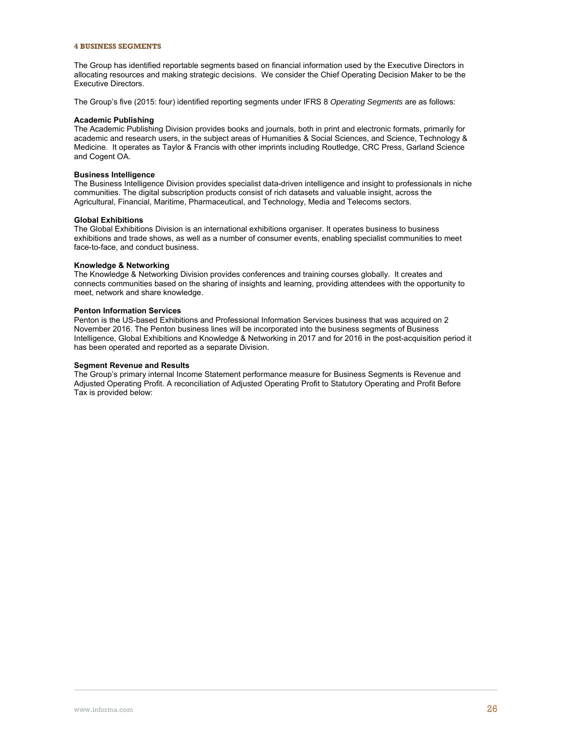#### **4 BUSINESS SEGMENTS**

The Group has identified reportable segments based on financial information used by the Executive Directors in allocating resources and making strategic decisions. We consider the Chief Operating Decision Maker to be the Executive Directors.

The Group's five (2015: four) identified reporting segments under IFRS 8 *Operating Segments* are as follows:

#### **Academic Publishing**

The Academic Publishing Division provides books and journals, both in print and electronic formats, primarily for academic and research users, in the subject areas of Humanities & Social Sciences, and Science, Technology & Medicine. It operates as Taylor & Francis with other imprints including Routledge, CRC Press, Garland Science and Cogent OA.

### **Business Intelligence**

The Business Intelligence Division provides specialist data-driven intelligence and insight to professionals in niche communities. The digital subscription products consist of rich datasets and valuable insight, across the Agricultural, Financial, Maritime, Pharmaceutical, and Technology, Media and Telecoms sectors.

### **Global Exhibitions**

The Global Exhibitions Division is an international exhibitions organiser. It operates business to business exhibitions and trade shows, as well as a number of consumer events, enabling specialist communities to meet face-to-face, and conduct business.

### **Knowledge & Networking**

The Knowledge & Networking Division provides conferences and training courses globally. It creates and connects communities based on the sharing of insights and learning, providing attendees with the opportunity to meet, network and share knowledge.

### **Penton Information Services**

Penton is the US-based Exhibitions and Professional Information Services business that was acquired on 2 November 2016. The Penton business lines will be incorporated into the business segments of Business Intelligence, Global Exhibitions and Knowledge & Networking in 2017 and for 2016 in the post-acquisition period it has been operated and reported as a separate Division.

### **Segment Revenue and Results**

The Group's primary internal Income Statement performance measure for Business Segments is Revenue and Adjusted Operating Profit. A reconciliation of Adjusted Operating Profit to Statutory Operating and Profit Before Tax is provided below: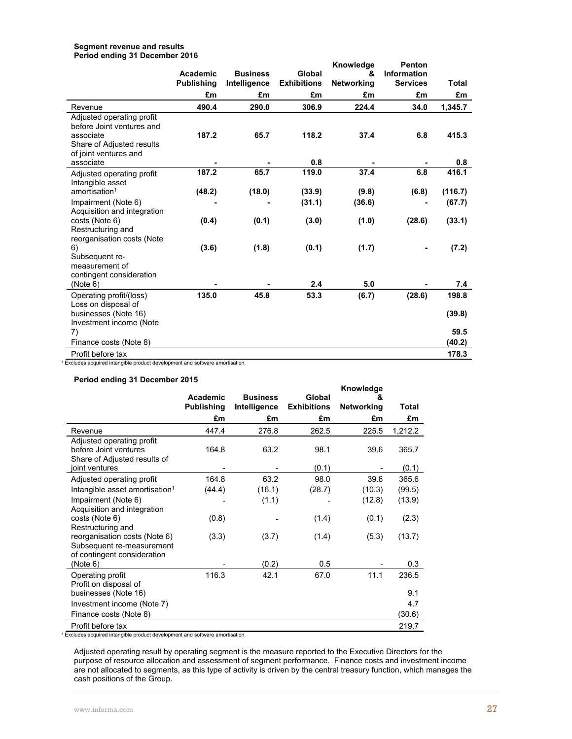### **Segment revenue and results Period ending 31 December 2016**

|                                      |                   |                 |                    | Knowledge         | Penton             |         |
|--------------------------------------|-------------------|-----------------|--------------------|-------------------|--------------------|---------|
|                                      | Academic          | <b>Business</b> | Global             | &                 | <b>Information</b> |         |
|                                      | <b>Publishing</b> | Intelligence    | <b>Exhibitions</b> | <b>Networking</b> | <b>Services</b>    | Total   |
|                                      | £m                | £m              | £m                 | £m                | £m                 | £m      |
| Revenue                              | 490.4             | 290.0           | 306.9              | 224.4             | 34.0               | 1,345.7 |
| Adjusted operating profit            |                   |                 |                    |                   |                    |         |
| before Joint ventures and            |                   |                 |                    |                   |                    |         |
| associate                            | 187.2             | 65.7            | 118.2              | 37.4              | 6.8                | 415.3   |
| Share of Adjusted results            |                   |                 |                    |                   |                    |         |
| of joint ventures and                |                   |                 |                    |                   |                    |         |
| associate                            |                   |                 | 0.8                |                   |                    | 0.8     |
| Adjusted operating profit            | 187.2             | 65.7            | 119.0              | 37.4              | 6.8                | 416.1   |
| Intangible asset                     |                   |                 |                    |                   |                    |         |
| amortisation <sup>1</sup>            | (48.2)            | (18.0)          | (33.9)             | (9.8)             | (6.8)              | (116.7) |
| Impairment (Note 6)                  |                   |                 | (31.1)             | (36.6)            |                    | (67.7)  |
| Acquisition and integration          |                   |                 |                    |                   |                    |         |
| costs (Note 6)                       | (0.4)             | (0.1)           | (3.0)              | (1.0)             | (28.6)             | (33.1)  |
| Restructuring and                    |                   |                 |                    |                   |                    |         |
| reorganisation costs (Note           |                   |                 |                    |                   |                    |         |
| 6)                                   | (3.6)             | (1.8)           | (0.1)              | (1.7)             |                    | (7.2)   |
| Subsequent re-                       |                   |                 |                    |                   |                    |         |
| measurement of                       |                   |                 |                    |                   |                    |         |
|                                      |                   |                 |                    |                   |                    |         |
| contingent consideration<br>(Note 6) |                   |                 | 2.4                | 5.0               |                    | 7.4     |
|                                      |                   |                 |                    |                   |                    |         |
| Operating profit/(loss)              | 135.0             | 45.8            | 53.3               | (6.7)             | (28.6)             | 198.8   |
| Loss on disposal of                  |                   |                 |                    |                   |                    |         |
| businesses (Note 16)                 |                   |                 |                    |                   |                    | (39.8)  |
| Investment income (Note              |                   |                 |                    |                   |                    |         |
| 7)                                   |                   |                 |                    |                   |                    | 59.5    |
| Finance costs (Note 8)               |                   |                 |                    |                   |                    | (40.2)  |
| Profit before tax                    |                   |                 |                    |                   |                    | 178.3   |

<sup>1</sup> Excludes acquired intangible product development and software amortisation.

## **Period ending 31 December 2015**

|                                                                                           | Academic          | <b>Business</b> | Global             | Knowledge<br>&    |         |
|-------------------------------------------------------------------------------------------|-------------------|-----------------|--------------------|-------------------|---------|
|                                                                                           | <b>Publishing</b> | Intelligence    | <b>Exhibitions</b> | <b>Networking</b> | Total   |
|                                                                                           | £m                | £m              | £m                 | £m                | £m      |
| Revenue                                                                                   | 447.4             | 276.8           | 262.5              | 225.5             | 1,212.2 |
| Adjusted operating profit<br>before Joint ventures<br>Share of Adjusted results of        | 164.8             | 63.2            | 98.1               | 39.6              | 365.7   |
| joint ventures                                                                            |                   |                 | (0.1)              |                   | (0.1)   |
| Adjusted operating profit                                                                 | 164.8             | 63.2            | 98.0               | 39.6              | 365.6   |
| Intangible asset amortisation <sup>1</sup>                                                | (44.4)            | (16.1)          | (28.7)             | (10.3)            | (99.5)  |
| Impairment (Note 6)<br>Acquisition and integration                                        |                   | (1.1)           |                    | (12.8)            | (13.9)  |
| costs (Note 6)<br>Restructuring and                                                       | (0.8)             |                 | (1.4)              | (0.1)             | (2.3)   |
| reorganisation costs (Note 6)<br>Subsequent re-measurement<br>of contingent consideration | (3.3)             | (3.7)           | (1.4)              | (5.3)             | (13.7)  |
| (Note 6)                                                                                  |                   | (0.2)           | 0.5                |                   | 0.3     |
| Operating profit                                                                          | 116.3             | 42.1            | 67.0               | 11.1              | 236.5   |
| Profit on disposal of<br>businesses (Note 16)                                             |                   |                 |                    |                   | 9.1     |
| Investment income (Note 7)                                                                |                   |                 |                    |                   | 4.7     |
| Finance costs (Note 8)                                                                    |                   |                 |                    |                   | (30.6)  |
| Profit before tax                                                                         |                   |                 |                    |                   | 219.7   |

<sup>1</sup> Excludes acquired intangible product development and software amortisation.

Adjusted operating result by operating segment is the measure reported to the Executive Directors for the purpose of resource allocation and assessment of segment performance. Finance costs and investment income are not allocated to segments, as this type of activity is driven by the central treasury function, which manages the cash positions of the Group.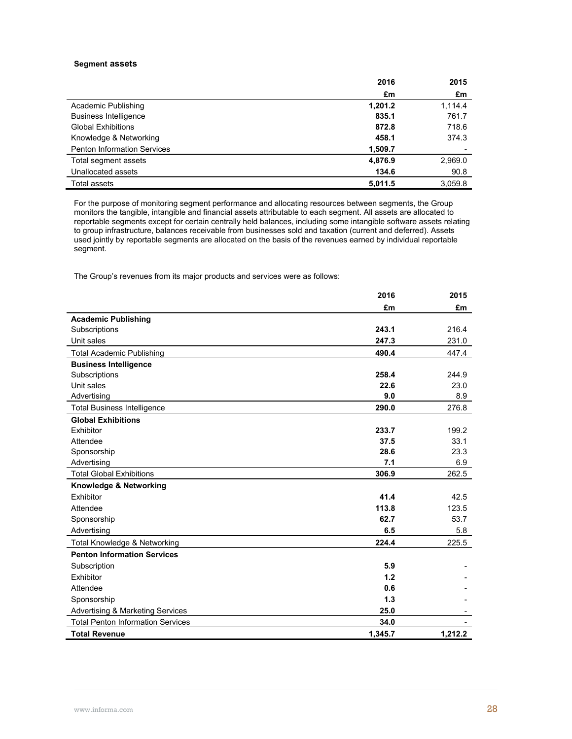### **Segment assets**

|                                    | 2016    | 2015    |
|------------------------------------|---------|---------|
|                                    | £m      | £m      |
| Academic Publishing                | 1,201.2 | 1,114.4 |
| <b>Business Intelligence</b>       | 835.1   | 761.7   |
| <b>Global Exhibitions</b>          | 872.8   | 718.6   |
| Knowledge & Networking             | 458.1   | 374.3   |
| <b>Penton Information Services</b> | 1,509.7 |         |
| Total segment assets               | 4,876.9 | 2,969.0 |
| Unallocated assets                 | 134.6   | 90.8    |
| Total assets                       | 5,011.5 | 3.059.8 |

For the purpose of monitoring segment performance and allocating resources between segments, the Group monitors the tangible, intangible and financial assets attributable to each segment. All assets are allocated to reportable segments except for certain centrally held balances, including some intangible software assets relating to group infrastructure, balances receivable from businesses sold and taxation (current and deferred). Assets used jointly by reportable segments are allocated on the basis of the revenues earned by individual reportable segment.

The Group's revenues from its major products and services were as follows:

|                                             | 2016    | 2015    |
|---------------------------------------------|---------|---------|
|                                             | £m      | £m      |
| <b>Academic Publishing</b>                  |         |         |
| Subscriptions                               | 243.1   | 216.4   |
| Unit sales                                  | 247.3   | 231.0   |
| <b>Total Academic Publishing</b>            | 490.4   | 447.4   |
| <b>Business Intelligence</b>                |         |         |
| Subscriptions                               | 258.4   | 244.9   |
| Unit sales                                  | 22.6    | 23.0    |
| Advertising                                 | 9.0     | 8.9     |
| <b>Total Business Intelligence</b>          | 290.0   | 276.8   |
| <b>Global Exhibitions</b>                   |         |         |
| Exhibitor                                   | 233.7   | 199.2   |
| Attendee                                    | 37.5    | 33.1    |
| Sponsorship                                 | 28.6    | 23.3    |
| Advertising                                 | 7.1     | 6.9     |
| <b>Total Global Exhibitions</b>             | 306.9   | 262.5   |
| Knowledge & Networking                      |         |         |
| Exhibitor                                   | 41.4    | 42.5    |
| Attendee                                    | 113.8   | 123.5   |
| Sponsorship                                 | 62.7    | 53.7    |
| Advertising                                 | 6.5     | 5.8     |
| Total Knowledge & Networking                | 224.4   | 225.5   |
| <b>Penton Information Services</b>          |         |         |
| Subscription                                | 5.9     |         |
| Exhibitor                                   | 1.2     |         |
| Attendee                                    | 0.6     |         |
| Sponsorship                                 | 1.3     |         |
| <b>Advertising &amp; Marketing Services</b> | 25.0    |         |
| <b>Total Penton Information Services</b>    | 34.0    |         |
| <b>Total Revenue</b>                        | 1,345.7 | 1,212.2 |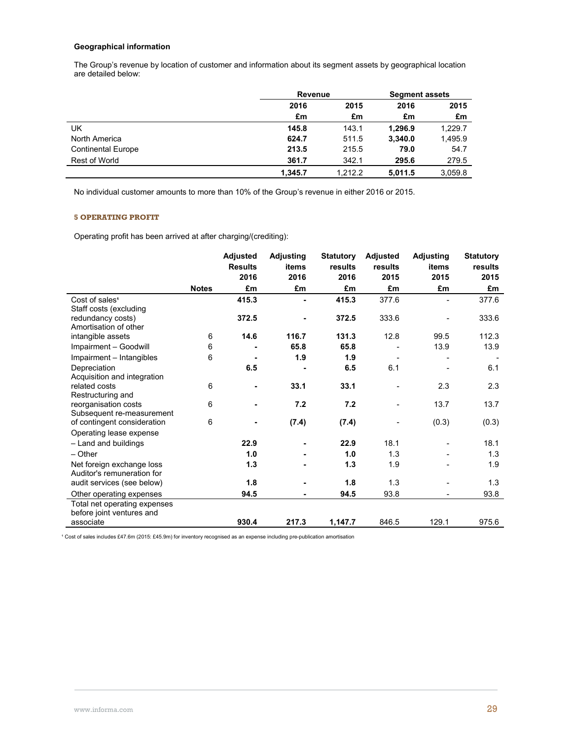## **Geographical information**

The Group's revenue by location of customer and information about its segment assets by geographical location are detailed below:

|                           | Revenue |         | <b>Segment assets</b> |         |
|---------------------------|---------|---------|-----------------------|---------|
|                           | 2016    | 2015    | 2016                  | 2015    |
|                           | £m      | £m      | £m                    | £m      |
| UK                        | 145.8   | 143.1   | 1.296.9               | 1,229.7 |
| North America             | 624.7   | 511.5   | 3,340.0               | 1,495.9 |
| <b>Continental Europe</b> | 213.5   | 215.5   | 79.0                  | 54.7    |
| Rest of World             | 361.7   | 342.1   | 295.6                 | 279.5   |
|                           | 1.345.7 | 1.212.2 | 5.011.5               | 3.059.8 |

No individual customer amounts to more than 10% of the Group's revenue in either 2016 or 2015.

## **5 OPERATING PROFIT**

Operating profit has been arrived at after charging/(crediting):

|                              |              | <b>Adjusted</b> | <b>Adjusting</b> | <b>Statutory</b> | <b>Adjusted</b> | <b>Adjusting</b> | <b>Statutory</b> |
|------------------------------|--------------|-----------------|------------------|------------------|-----------------|------------------|------------------|
|                              |              | <b>Results</b>  | items            | results          | results         | items            | results          |
|                              |              | 2016            | 2016             | 2016             | 2015            | 2015             | 2015             |
|                              | <b>Notes</b> | £m              | £m               | £m               | £m              | £m               | £m               |
| Cost of sales <sup>1</sup>   |              | 415.3           |                  | 415.3            | 377.6           |                  | 377.6            |
| Staff costs (excluding       |              |                 |                  |                  |                 |                  |                  |
| redundancy costs)            |              | 372.5           |                  | 372.5            | 333.6           |                  | 333.6            |
| Amortisation of other        |              |                 |                  |                  |                 |                  |                  |
| intangible assets            | 6            | 14.6            | 116.7            | 131.3            | 12.8            | 99.5             | 112.3            |
| Impairment - Goodwill        | 6            |                 | 65.8             | 65.8             |                 | 13.9             | 13.9             |
| Impairment - Intangibles     | 6            |                 | 1.9              | 1.9              |                 |                  |                  |
| Depreciation                 |              | 6.5             |                  | 6.5              | 6.1             |                  | 6.1              |
| Acquisition and integration  |              |                 |                  |                  |                 |                  |                  |
| related costs                | 6            | ۰               | 33.1             | 33.1             |                 | 2.3              | 2.3              |
| Restructuring and            |              |                 |                  |                  |                 |                  |                  |
| reorganisation costs         | 6            | $\blacksquare$  | 7.2              | 7.2              |                 | 13.7             | 13.7             |
| Subsequent re-measurement    |              |                 |                  |                  |                 |                  |                  |
| of contingent consideration  | 6            |                 | (7.4)            | (7.4)            |                 | (0.3)            | (0.3)            |
| Operating lease expense      |              |                 |                  |                  |                 |                  |                  |
| - Land and buildings         |              | 22.9            |                  | 22.9             | 18.1            |                  | 18.1             |
| $-$ Other                    |              | 1.0             |                  | 1.0              | 1.3             |                  | 1.3              |
| Net foreign exchange loss    |              | 1.3             |                  | 1.3              | 1.9             |                  | 1.9              |
| Auditor's remuneration for   |              |                 |                  |                  |                 |                  |                  |
| audit services (see below)   |              | 1.8             |                  | 1.8              | 1.3             |                  | 1.3              |
| Other operating expenses     |              | 94.5            |                  | 94.5             | 93.8            |                  | 93.8             |
| Total net operating expenses |              |                 |                  |                  |                 |                  |                  |
| before joint ventures and    |              |                 |                  |                  |                 |                  |                  |
| associate                    |              | 930.4           | 217.3            | 1,147.7          | 846.5           | 129.1            | 975.6            |

<sup>1</sup> Cost of sales includes £47.6m (2015: £45.9m) for inventory recognised as an expense including pre-publication amortisation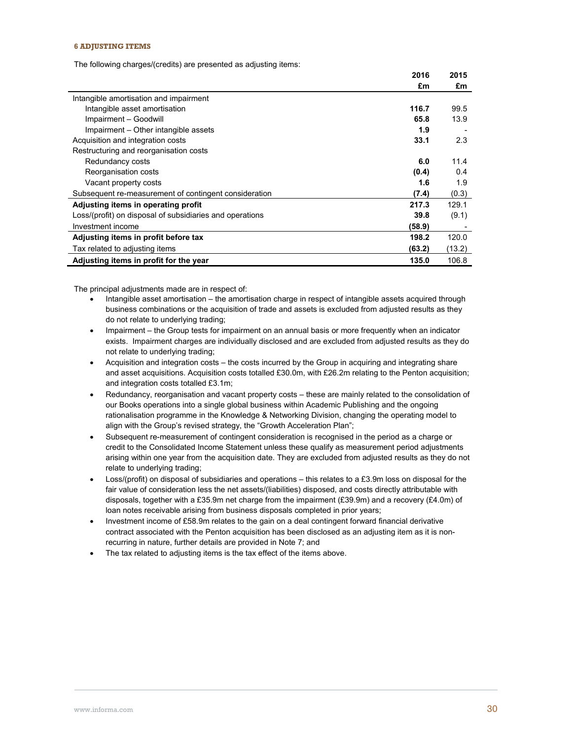### **6 ADJUSTING ITEMS**

The following charges/(credits) are presented as adjusting items:

|                                                          | 2016   | 2015   |
|----------------------------------------------------------|--------|--------|
|                                                          | £m     | £m     |
| Intangible amortisation and impairment                   |        |        |
| Intangible asset amortisation                            | 116.7  | 99.5   |
| Impairment - Goodwill                                    | 65.8   | 13.9   |
| Impairment – Other intangible assets                     | 1.9    |        |
| Acquisition and integration costs                        | 33.1   | 2.3    |
| Restructuring and reorganisation costs                   |        |        |
| Redundancy costs                                         | 6.0    | 11.4   |
| Reorganisation costs                                     | (0.4)  | 0.4    |
| Vacant property costs                                    | 1.6    | 1.9    |
| Subsequent re-measurement of contingent consideration    | (7.4)  | (0.3)  |
| Adjusting items in operating profit                      | 217.3  | 129.1  |
| Loss/(profit) on disposal of subsidiaries and operations | 39.8   | (9.1)  |
| Investment income                                        | (58.9) |        |
| Adjusting items in profit before tax                     | 198.2  | 120.0  |
| Tax related to adjusting items                           | (63.2) | (13.2) |
| Adjusting items in profit for the year                   | 135.0  | 106.8  |

The principal adjustments made are in respect of:

- Intangible asset amortisation the amortisation charge in respect of intangible assets acquired through business combinations or the acquisition of trade and assets is excluded from adjusted results as they do not relate to underlying trading;
- Impairment the Group tests for impairment on an annual basis or more frequently when an indicator exists. Impairment charges are individually disclosed and are excluded from adjusted results as they do not relate to underlying trading;
- Acquisition and integration costs the costs incurred by the Group in acquiring and integrating share and asset acquisitions. Acquisition costs totalled £30.0m, with £26.2m relating to the Penton acquisition; and integration costs totalled £3.1m;
- Redundancy, reorganisation and vacant property costs these are mainly related to the consolidation of our Books operations into a single global business within Academic Publishing and the ongoing rationalisation programme in the Knowledge & Networking Division, changing the operating model to align with the Group's revised strategy, the "Growth Acceleration Plan";
- Subsequent re-measurement of contingent consideration is recognised in the period as a charge or credit to the Consolidated Income Statement unless these qualify as measurement period adjustments arising within one year from the acquisition date. They are excluded from adjusted results as they do not relate to underlying trading;
- Loss/(profit) on disposal of subsidiaries and operations this relates to a £3.9m loss on disposal for the fair value of consideration less the net assets/(liabilities) disposed, and costs directly attributable with disposals, together with a £35.9m net charge from the impairment (£39.9m) and a recovery (£4.0m) of loan notes receivable arising from business disposals completed in prior years;
- Investment income of £58.9m relates to the gain on a deal contingent forward financial derivative contract associated with the Penton acquisition has been disclosed as an adjusting item as it is nonrecurring in nature, further details are provided in Note 7; and
- The tax related to adjusting items is the tax effect of the items above.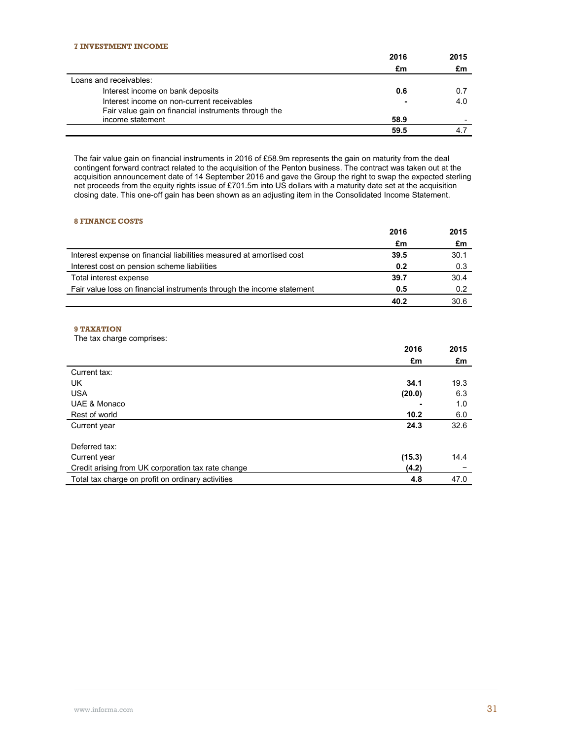|                                                      | 2016 | 2015 |
|------------------------------------------------------|------|------|
|                                                      | £m   | £m   |
| Loans and receivables:                               |      |      |
| Interest income on bank deposits                     | 0.6  | 0.7  |
| Interest income on non-current receivables           | -    | 4.0  |
| Fair value gain on financial instruments through the |      |      |
| income statement                                     | 58.9 |      |
|                                                      | 59.5 |      |

The fair value gain on financial instruments in 2016 of £58.9m represents the gain on maturity from the deal contingent forward contract related to the acquisition of the Penton business. The contract was taken out at the acquisition announcement date of 14 September 2016 and gave the Group the right to swap the expected sterling net proceeds from the equity rights issue of £701.5m into US dollars with a maturity date set at the acquisition closing date. This one-off gain has been shown as an adjusting item in the Consolidated Income Statement.

## **8 FINANCE COSTS**

|                                                                       | 2016 | 2015 |
|-----------------------------------------------------------------------|------|------|
|                                                                       | £m   | £m   |
| Interest expense on financial liabilities measured at amortised cost  | 39.5 | 30.1 |
| Interest cost on pension scheme liabilities                           | 0.2  | 0.3  |
| Total interest expense                                                | 39.7 | 30.4 |
| Fair value loss on financial instruments through the income statement | 0.5  | 0.2  |
|                                                                       | 40.2 | 30.6 |

## **9 TAXATION**

The tax charge comprises:

|                                                    | 2016   | 2015 |
|----------------------------------------------------|--------|------|
|                                                    | £m     | £m   |
| Current tax:                                       |        |      |
| UK.                                                | 34.1   | 19.3 |
| <b>USA</b>                                         | (20.0) | 6.3  |
| UAE & Monaco                                       |        | 1.0  |
| Rest of world                                      | 10.2   | 6.0  |
| Current year                                       | 24.3   | 32.6 |
|                                                    |        |      |
| Deferred tax:                                      |        |      |
| Current year                                       | (15.3) | 14.4 |
| Credit arising from UK corporation tax rate change | (4.2)  |      |
| Total tax charge on profit on ordinary activities  | 4.8    | 47.0 |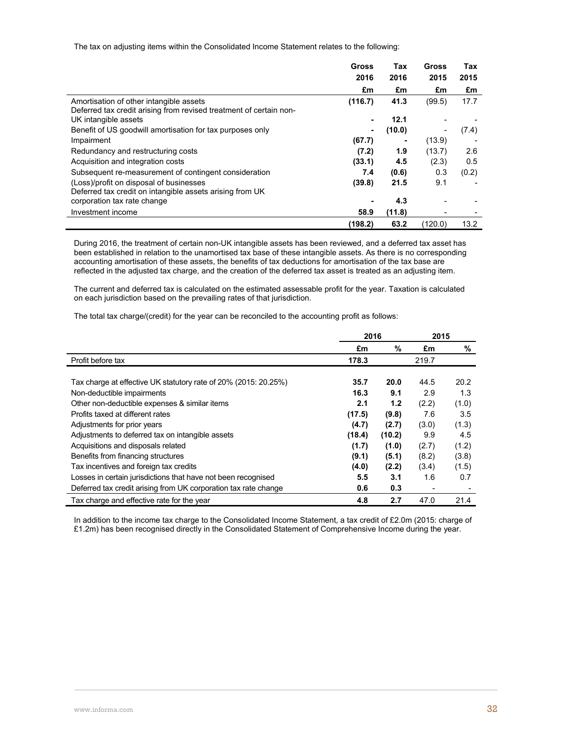The tax on adjusting items within the Consolidated Income Statement relates to the following:

|                                                                    | Gross<br>2016 | Tax<br>2016 | Gross<br>2015 | Tax<br>2015 |
|--------------------------------------------------------------------|---------------|-------------|---------------|-------------|
|                                                                    | £m            | £m          | £m            | £m          |
| Amortisation of other intangible assets                            | (116.7)       | 41.3        | (99.5)        | 17.7        |
| Deferred tax credit arising from revised treatment of certain non- |               |             |               |             |
| UK intangible assets                                               |               | 12.1        |               |             |
| Benefit of US goodwill amortisation for tax purposes only          | ۰             | (10.0)      | ٠             | (7.4)       |
| Impairment                                                         | (67.7)        |             | (13.9)        |             |
| Redundancy and restructuring costs                                 | (7.2)         | 1.9         | (13.7)        | 2.6         |
| Acquisition and integration costs                                  | (33.1)        | 4.5         | (2.3)         | 0.5         |
| Subsequent re-measurement of contingent consideration              | 7.4           | (0.6)       | 0.3           | (0.2)       |
| (Loss)/profit on disposal of businesses                            | (39.8)        | 21.5        | 9.1           |             |
| Deferred tax credit on intangible assets arising from UK           |               |             |               |             |
| corporation tax rate change                                        |               | 4.3         |               |             |
| Investment income                                                  | 58.9          | (11.8)      |               |             |
|                                                                    | (198.2)       | 63.2        | (120.0)       | 13.2        |

During 2016, the treatment of certain non-UK intangible assets has been reviewed, and a deferred tax asset has been established in relation to the unamortised tax base of these intangible assets. As there is no corresponding accounting amortisation of these assets, the benefits of tax deductions for amortisation of the tax base are reflected in the adjusted tax charge, and the creation of the deferred tax asset is treated as an adjusting item.

The current and deferred tax is calculated on the estimated assessable profit for the year. Taxation is calculated on each jurisdiction based on the prevailing rates of that jurisdiction.

The total tax charge/(credit) for the year can be reconciled to the accounting profit as follows:

|                                                                 | 2016   |        | 2015  |       |
|-----------------------------------------------------------------|--------|--------|-------|-------|
|                                                                 | £m     | %      | £m    | %     |
| Profit before tax                                               | 178.3  |        | 219.7 |       |
|                                                                 |        |        |       |       |
| Tax charge at effective UK statutory rate of 20% (2015: 20.25%) | 35.7   | 20.0   | 44.5  | 20.2  |
| Non-deductible impairments                                      | 16.3   | 9.1    | 2.9   | 1.3   |
| Other non-deductible expenses & similar items                   | 2.1    | 1.2    | (2.2) | (1.0) |
| Profits taxed at different rates                                | (17.5) | (9.8)  | 7.6   | 3.5   |
| Adjustments for prior years                                     | (4.7)  | (2.7)  | (3.0) | (1.3) |
| Adjustments to deferred tax on intangible assets                | (18.4) | (10.2) | 9.9   | 4.5   |
| Acquisitions and disposals related                              | (1.7)  | (1.0)  | (2.7) | (1.2) |
| Benefits from financing structures                              | (9.1)  | (5.1)  | (8.2) | (3.8) |
| Tax incentives and foreign tax credits                          | (4.0)  | (2.2)  | (3.4) | (1.5) |
| Losses in certain jurisdictions that have not been recognised   | 5.5    | 3.1    | 1.6   | 0.7   |
| Deferred tax credit arising from UK corporation tax rate change | 0.6    | 0.3    |       |       |
| Tax charge and effective rate for the year                      | 4.8    | 2.7    | 47.0  | 21.4  |

In addition to the income tax charge to the Consolidated Income Statement, a tax credit of £2.0m (2015: charge of £1.2m) has been recognised directly in the Consolidated Statement of Comprehensive Income during the year.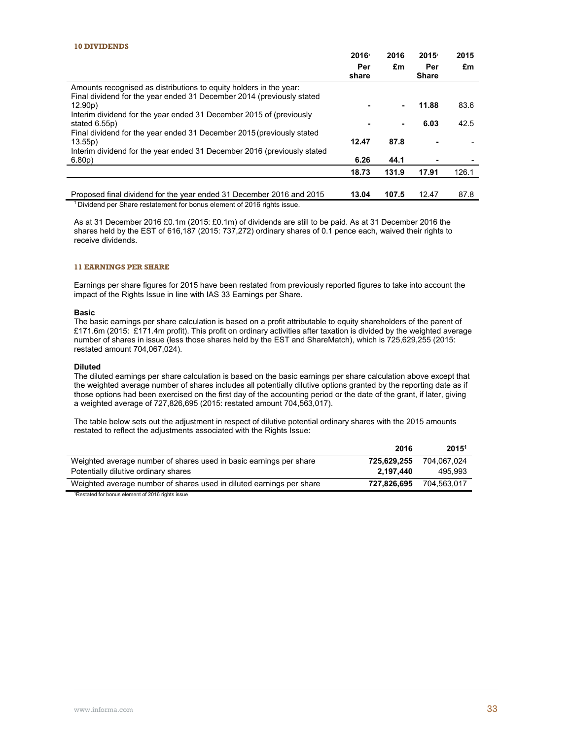#### **10 DIVIDENDS**

|                                                                                      | 2016<br>Per<br>share | 2016<br>£m | 2015<br>Per<br><b>Share</b>              | 2015<br>£m       |
|--------------------------------------------------------------------------------------|----------------------|------------|------------------------------------------|------------------|
| Amounts recognised as distributions to equity holders in the year:                   |                      |            |                                          |                  |
| Final dividend for the year ended 31 December 2014 (previously stated<br>12.90p      |                      | ۰          | 11.88                                    | 83.6             |
| Interim dividend for the year ended 31 December 2015 of (previously<br>stated 6.55p) |                      |            | 6.03                                     | 42.5             |
| Final dividend for the year ended 31 December 2015 (previously stated                |                      |            |                                          |                  |
| 13.55p)<br>Interim dividend for the year ended 31 December 2016 (previously stated   | 12.47                | 87.8       |                                          |                  |
| $6.80p$ )                                                                            | 6.26                 | 44.1       |                                          |                  |
|                                                                                      | 18.73                | 131.9      | 17.91                                    | 126.1            |
|                                                                                      | .                    |            | $\lambda$ $\sim$ $\lambda$ $\rightarrow$ | . <del>.</del> . |

Proposed final dividend for the year ended 31 December 2016 and 2015 **13.04 107.5** 12.47 87.8<br><sup>1</sup> Dividend per Share restatement for bonus element of 2016 rights issue.

As at 31 December 2016 £0.1m (2015: £0.1m) of dividends are still to be paid. As at 31 December 2016 the shares held by the EST of 616,187 (2015: 737,272) ordinary shares of 0.1 pence each, waived their rights to receive dividends.

### **11 EARNINGS PER SHARE**

Earnings per share figures for 2015 have been restated from previously reported figures to take into account the impact of the Rights Issue in line with IAS 33 Earnings per Share.

### **Basic**

The basic earnings per share calculation is based on a profit attributable to equity shareholders of the parent of £171.6m (2015: £171.4m profit). This profit on ordinary activities after taxation is divided by the weighted average number of shares in issue (less those shares held by the EST and ShareMatch), which is 725,629,255 (2015: restated amount 704,067,024).

### **Diluted**

The diluted earnings per share calculation is based on the basic earnings per share calculation above except that the weighted average number of shares includes all potentially dilutive options granted by the reporting date as if those options had been exercised on the first day of the accounting period or the date of the grant, if later, giving a weighted average of 727,826,695 (2015: restated amount 704,563,017).

The table below sets out the adjustment in respect of dilutive potential ordinary shares with the 2015 amounts restated to reflect the adjustments associated with the Rights Issue:

|                                                                                                                                                                                                                                                                                                             | 2016        | 2015 <sup>1</sup> |
|-------------------------------------------------------------------------------------------------------------------------------------------------------------------------------------------------------------------------------------------------------------------------------------------------------------|-------------|-------------------|
| Weighted average number of shares used in basic earnings per share                                                                                                                                                                                                                                          | 725.629.255 | 704.067.024       |
| Potentially dilutive ordinary shares                                                                                                                                                                                                                                                                        | 2.197.440   | 495.993           |
| Weighted average number of shares used in diluted earnings per share                                                                                                                                                                                                                                        | 727.826.695 | 704.563.017       |
| $\mathbf{f}$ , $\mathbf{f}$ , $\mathbf{f}$ , $\mathbf{f}$ , $\mathbf{f}$ , $\mathbf{f}$ , $\mathbf{f}$ , $\mathbf{f}$ , $\mathbf{f}$ , $\mathbf{f}$ , $\mathbf{f}$ , $\mathbf{f}$ , $\mathbf{f}$ , $\mathbf{f}$ , $\mathbf{f}$ , $\mathbf{f}$ , $\mathbf{f}$ , $\mathbf{f}$ , $\mathbf{f}$ , $\mathbf{f}$ , |             |                   |

1Restated for bonus element of 2016 rights issue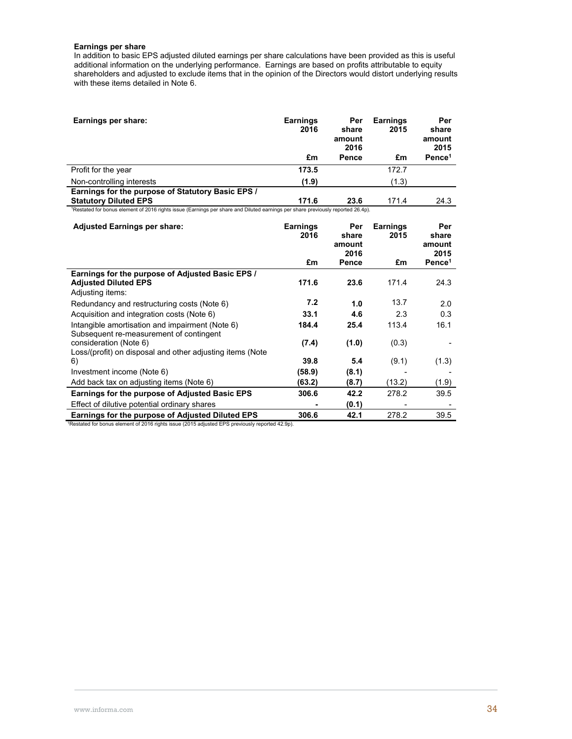#### **Earnings per share**

In addition to basic EPS adjusted diluted earnings per share calculations have been provided as this is useful additional information on the underlying performance. Earnings are based on profits attributable to equity shareholders and adjusted to exclude items that in the opinion of the Directors would distort underlying results with these items detailed in Note 6.

| Earnings per share:                                                                                                             | <b>Earnings</b><br>2016 | Per<br>share<br>amount<br>2016 | <b>Earnings</b><br>2015 | Per<br>share<br>amount<br>2015 |
|---------------------------------------------------------------------------------------------------------------------------------|-------------------------|--------------------------------|-------------------------|--------------------------------|
|                                                                                                                                 | £m                      | Pence                          | £m                      | Pence $1$                      |
| Profit for the year                                                                                                             | 173.5                   |                                | 172.7                   |                                |
| Non-controlling interests                                                                                                       | (1.9)                   |                                | (1.3)                   |                                |
| Earnings for the purpose of Statutory Basic EPS /<br><b>Statutory Diluted EPS</b>                                               | 171.6                   | 23.6                           | 171.4                   | 24.3                           |
| 1Restated for bonus element of 2016 rights issue (Earnings per share and Diluted earnings per share previously reported 26.4p). |                         |                                |                         |                                |
| <b>Adjusted Earnings per share:</b>                                                                                             | <b>Earnings</b><br>2016 | Per<br>share<br>amount         | <b>Earnings</b><br>2015 | Per<br>share<br>amount         |
|                                                                                                                                 | £m                      | 2016<br><b>Pence</b>           | £m                      | 2015<br>Pence $1$              |
| Earnings for the purpose of Adjusted Basic EPS /<br><b>Adjusted Diluted EPS</b><br>Adjusting items:                             | 171.6                   | 23.6                           | 171.4                   | 24.3                           |
| Redundancy and restructuring costs (Note 6)                                                                                     | 7.2                     | 1.0                            | 13.7                    | 2.0                            |
| Acquisition and integration costs (Note 6)                                                                                      | 33.1                    | 4.6                            | 2.3                     | 0.3                            |
| Intangible amortisation and impairment (Note 6)                                                                                 | 184.4                   | 25.4                           | 113.4                   | 16.1                           |
| Subsequent re-measurement of contingent<br>consideration (Note 6)<br>Loss/(profit) on disposal and other adjusting items (Note  | (7.4)                   | (1.0)                          | (0.3)                   |                                |
| 6)                                                                                                                              | 39.8                    | 5.4                            | (9.1)                   | (1.3)                          |
| Investment income (Note 6)                                                                                                      | (58.9)                  | (8.1)                          |                         |                                |
| Add back tax on adjusting items (Note 6)                                                                                        | (63.2)                  | (8.7)                          | (13.2)                  | (1.9)                          |
| <b>Earnings for the purpose of Adjusted Basic EPS</b>                                                                           | 306.6                   | 42.2                           | 278.2                   | 39.5                           |
| Effect of dilutive potential ordinary shares                                                                                    |                         | (0.1)                          |                         |                                |
| alang fandisi mumang af Adlunted Billited FBO                                                                                   | $\sim$                  | $\overline{10}$                | 2200                    | $\sim$ $\sim$                  |

**Earnings for the purpose of Adjusted Diluted EPS** 306.6 42.1 278.2 39.5 1Restated for bonus element of 2016 rights issue (2015 adjusted EPS previously reported 42.9p).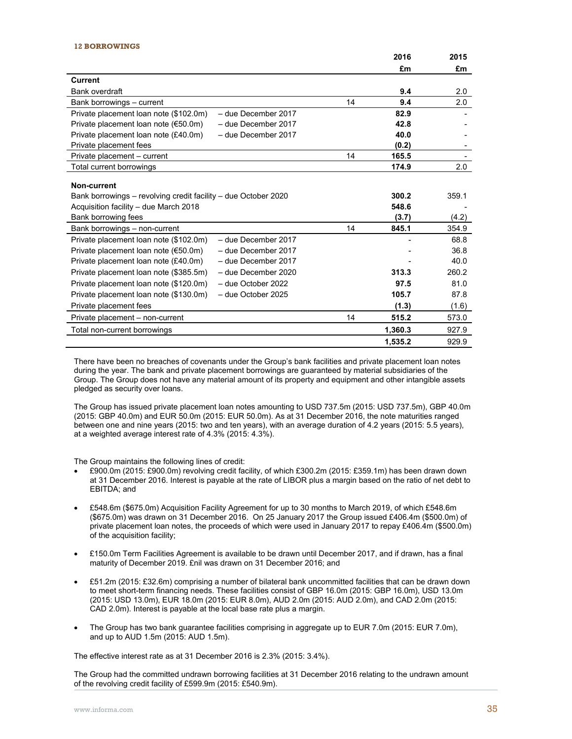#### **12 BORROWINGS**

|                                                                                  |    | 2016    | 2015  |
|----------------------------------------------------------------------------------|----|---------|-------|
|                                                                                  |    | £m      | £m    |
| <b>Current</b>                                                                   |    |         |       |
| Bank overdraft                                                                   |    | 9.4     | 2.0   |
| Bank borrowings - current                                                        | 14 | 9.4     | 2.0   |
| Private placement loan note (\$102.0m)<br>- due December 2017                    |    | 82.9    |       |
| Private placement loan note $(650.0m)$<br>- due December 2017                    |    | 42.8    |       |
| Private placement loan note (£40.0m)<br>- due December 2017                      |    | 40.0    |       |
| Private placement fees                                                           |    | (0.2)   |       |
| Private placement - current                                                      | 14 | 165.5   |       |
| Total current borrowings                                                         |    | 174.9   | 2.0   |
| Non-current                                                                      |    |         |       |
| Bank borrowings – revolving credit facility – due October 2020                   |    | 300.2   | 359.1 |
| Acquisition facility - due March 2018                                            |    | 548.6   |       |
| Bank borrowing fees                                                              |    | (3.7)   | (4.2) |
| Bank borrowings - non-current                                                    | 14 | 845.1   | 354.9 |
| Private placement loan note (\$102.0m)<br>- due December 2017                    |    |         | 68.8  |
| Private placement loan note $(\text{\textsterling}50.0m)$<br>- due December 2017 |    |         | 36.8  |
| Private placement loan note (£40.0m)<br>- due December 2017                      |    |         | 40.0  |
| Private placement loan note (\$385.5m)<br>- due December 2020                    |    | 313.3   | 260.2 |
| Private placement loan note (\$120.0m)<br>- due October 2022                     |    | 97.5    | 81.0  |
| Private placement loan note (\$130.0m)<br>- due October 2025                     |    | 105.7   | 87.8  |
| Private placement fees                                                           |    | (1.3)   | (1.6) |
| Private placement - non-current                                                  | 14 | 515.2   | 573.0 |
| Total non-current borrowings                                                     |    | 1,360.3 | 927.9 |
|                                                                                  |    | 1,535.2 | 929.9 |

There have been no breaches of covenants under the Group's bank facilities and private placement loan notes during the year. The bank and private placement borrowings are guaranteed by material subsidiaries of the Group. The Group does not have any material amount of its property and equipment and other intangible assets pledged as security over loans.

The Group has issued private placement loan notes amounting to USD 737.5m (2015: USD 737.5m), GBP 40.0m (2015: GBP 40.0m) and EUR 50.0m (2015: EUR 50.0m). As at 31 December 2016, the note maturities ranged between one and nine years (2015: two and ten years), with an average duration of 4.2 years (2015: 5.5 years), at a weighted average interest rate of 4.3% (2015: 4.3%).

The Group maintains the following lines of credit:

- £900.0m (2015: £900.0m) revolving credit facility, of which £300.2m (2015: £359.1m) has been drawn down at 31 December 2016. Interest is payable at the rate of LIBOR plus a margin based on the ratio of net debt to EBITDA; and
- £548.6m (\$675.0m) Acquisition Facility Agreement for up to 30 months to March 2019, of which £548.6m (\$675.0m) was drawn on 31 December 2016. On 25 January 2017 the Group issued £406.4m (\$500.0m) of private placement loan notes, the proceeds of which were used in January 2017 to repay £406.4m (\$500.0m) of the acquisition facility;
- £150.0m Term Facilities Agreement is available to be drawn until December 2017, and if drawn, has a final maturity of December 2019. £nil was drawn on 31 December 2016; and
- £51.2m (2015: £32.6m) comprising a number of bilateral bank uncommitted facilities that can be drawn down to meet short-term financing needs. These facilities consist of GBP 16.0m (2015: GBP 16.0m), USD 13.0m (2015: USD 13.0m), EUR 18.0m (2015: EUR 8.0m), AUD 2.0m (2015: AUD 2.0m), and CAD 2.0m (2015: CAD 2.0m). Interest is payable at the local base rate plus a margin.
- The Group has two bank guarantee facilities comprising in aggregate up to EUR 7.0m (2015: EUR 7.0m), and up to AUD 1.5m (2015: AUD 1.5m).

The effective interest rate as at 31 December 2016 is 2.3% (2015: 3.4%).

The Group had the committed undrawn borrowing facilities at 31 December 2016 relating to the undrawn amount of the revolving credit facility of £599.9m (2015: £540.9m).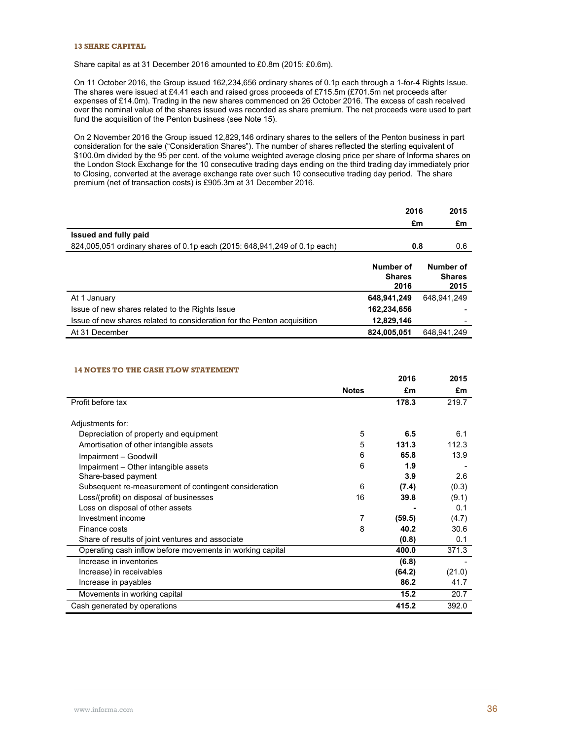### **13 SHARE CAPITAL**

Share capital as at 31 December 2016 amounted to £0.8m (2015: £0.6m).

On 11 October 2016, the Group issued 162,234,656 ordinary shares of 0.1p each through a 1-for-4 Rights Issue. The shares were issued at £4.41 each and raised gross proceeds of £715.5m (£701.5m net proceeds after expenses of £14.0m). Trading in the new shares commenced on 26 October 2016. The excess of cash received over the nominal value of the shares issued was recorded as share premium. The net proceeds were used to part fund the acquisition of the Penton business (see Note 15).

On 2 November 2016 the Group issued 12,829,146 ordinary shares to the sellers of the Penton business in part consideration for the sale ("Consideration Shares"). The number of shares reflected the sterling equivalent of \$100.0m divided by the 95 per cent. of the volume weighted average closing price per share of Informa shares on the London Stock Exchange for the 10 consecutive trading days ending on the third trading day immediately prior to Closing, converted at the average exchange rate over such 10 consecutive trading day period. The share premium (net of transaction costs) is £905.3m at 31 December 2016.

|                                                                           | 2016                               | 2015                               |
|---------------------------------------------------------------------------|------------------------------------|------------------------------------|
|                                                                           |                                    | £m<br>£m                           |
| Issued and fully paid                                                     |                                    |                                    |
| 824,005,051 ordinary shares of 0.1p each (2015: 648,941,249 of 0.1p each) |                                    | 0.6<br>0.8                         |
|                                                                           | Number of<br><b>Shares</b><br>2016 | Number of<br><b>Shares</b><br>2015 |
| At 1 January                                                              | 648,941,249                        | 648.941.249                        |
| Issue of new shares related to the Rights Issue                           | 162,234,656                        |                                    |
| Issue of new shares related to consideration for the Penton acquisition   | 12,829,146                         |                                    |
| At 31 December                                                            | 824,005,051                        | 648.941.249                        |

### **14 NOTES TO THE CASH FLOW STATEMENT**

|                                                           |              | 2016   | 2015   |
|-----------------------------------------------------------|--------------|--------|--------|
|                                                           | <b>Notes</b> | £m     | £m     |
| Profit before tax                                         |              | 178.3  | 219.7  |
|                                                           |              |        |        |
| Adjustments for:                                          |              |        |        |
| Depreciation of property and equipment                    | 5            | 6.5    | 6.1    |
| Amortisation of other intangible assets                   | 5            | 131.3  | 112.3  |
| Impairment - Goodwill                                     | 6            | 65.8   | 13.9   |
| Impairment - Other intangible assets                      | 6            | 1.9    |        |
| Share-based payment                                       |              | 3.9    | 2.6    |
| Subsequent re-measurement of contingent consideration     | 6            | (7.4)  | (0.3)  |
| Loss/(profit) on disposal of businesses                   | 16           | 39.8   | (9.1)  |
| Loss on disposal of other assets                          |              |        | 0.1    |
| Investment income                                         | 7            | (59.5) | (4.7)  |
| Finance costs                                             | 8            | 40.2   | 30.6   |
| Share of results of joint ventures and associate          |              | (0.8)  | 0.1    |
| Operating cash inflow before movements in working capital |              | 400.0  | 371.3  |
| Increase in inventories                                   |              | (6.8)  |        |
| Increase) in receivables                                  |              | (64.2) | (21.0) |
| Increase in payables                                      |              | 86.2   | 41.7   |
| Movements in working capital                              |              | 15.2   | 20.7   |
| Cash generated by operations                              |              | 415.2  | 392.0  |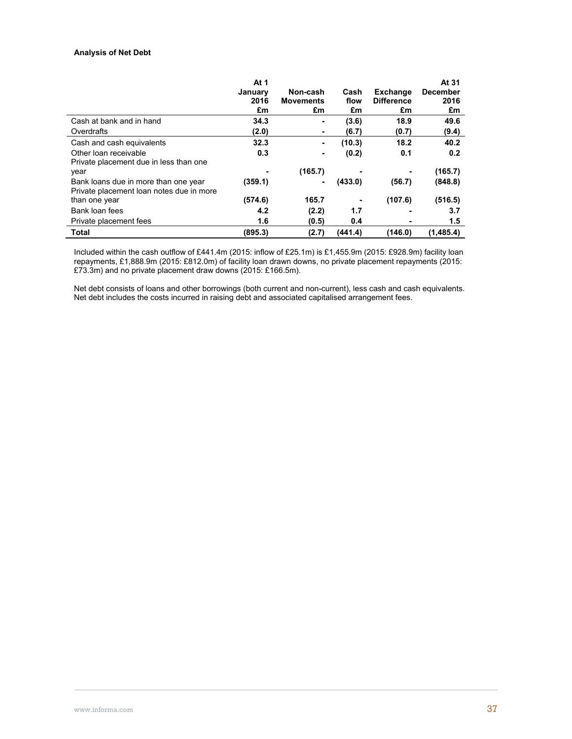## **Analysis of Net Debt**

|                                                                                  | At 1<br>January<br>2016<br>£m | Non-cash<br><b>Movements</b><br>£m | Cash<br>flow<br>£m | Exchange<br><b>Difference</b><br>£m | At 31<br><b>December</b><br>2016<br>£m |
|----------------------------------------------------------------------------------|-------------------------------|------------------------------------|--------------------|-------------------------------------|----------------------------------------|
| Cash at bank and in hand                                                         | 34.3                          | ۰                                  | (3.6)              | 18.9                                | 49.6                                   |
| Overdrafts                                                                       | (2.0)                         | ۰                                  | (6.7)              | (0.7)                               | (9.4)                                  |
| Cash and cash equivalents                                                        | 32.3                          | ۰                                  | (10.3)             | 18.2                                | 40.2                                   |
| Other loan receivable                                                            | 0.3                           | ۰                                  | (0.2)              | 0.1                                 | 0.2                                    |
| Private placement due in less than one                                           |                               |                                    |                    |                                     |                                        |
| year                                                                             |                               | (165.7)                            |                    |                                     | (165.7)                                |
| Bank loans due in more than one year<br>Private placement loan notes due in more | (359.1)                       |                                    | (433.0)            | (56.7)                              | (848.8)                                |
| than one year                                                                    | (574.6)                       | 165.7                              |                    | (107.6)                             | (516.5)                                |
| Bank loan fees                                                                   | 4.2                           | (2.2)                              | 1.7                |                                     | 3.7                                    |
| Private placement fees                                                           | 1.6                           | (0.5)                              | 0.4                |                                     | 1.5                                    |
| <b>Total</b>                                                                     | (895.3)                       | (2.7)                              | (441.4)            | (146.0)                             | (1.485.4)                              |

Included within the cash outflow of £441.4m (2015: inflow of £25.1m) is £1,455.9m (2015: £928.9m) facility loan repayments, £1,888.9m (2015: £812.0m) of facility loan drawn downs, no private placement repayments (2015: £73.3m) and no private placement draw downs (2015: £166.5m).

Net debt consists of loans and other borrowings (both current and non-current), less cash and cash equivalents. Net debt includes the costs incurred in raising debt and associated capitalised arrangement fees.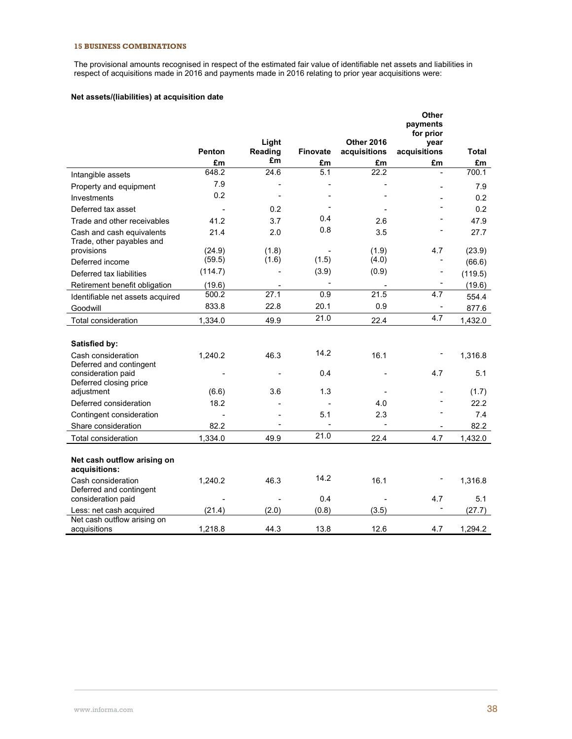## **15 BUSINESS COMBINATIONS**

The provisional amounts recognised in respect of the estimated fair value of identifiable net assets and liabilities in respect of acquisitions made in 2016 and payments made in 2016 relating to prior year acquisitions were:

## **Net assets/(liabilities) at acquisition date**

|                                                        | Penton  | Light<br><b>Reading</b> | Finovate | <b>Other 2016</b><br>acquisitions | Other<br>payments<br>for prior<br>year<br>acquisitions | Total   |
|--------------------------------------------------------|---------|-------------------------|----------|-----------------------------------|--------------------------------------------------------|---------|
|                                                        | £m      | £m                      | £m       | £m                                | £m                                                     | £m      |
| Intangible assets                                      | 648.2   | 24.6                    | 5.1      | 22.2                              |                                                        | 700.1   |
|                                                        | 7.9     |                         |          |                                   |                                                        | 7.9     |
| Property and equipment<br>Investments                  | 0.2     |                         |          |                                   |                                                        | 0.2     |
| Deferred tax asset                                     |         | 0.2                     |          |                                   |                                                        | 0.2     |
| Trade and other receivables                            | 41.2    | 3.7                     | 0.4      | 2.6                               |                                                        | 47.9    |
|                                                        | 21.4    | 2.0                     | 0.8      | 3.5                               |                                                        | 27.7    |
| Cash and cash equivalents<br>Trade, other payables and |         |                         |          |                                   |                                                        |         |
| provisions                                             | (24.9)  | (1.8)                   |          | (1.9)                             | 4.7                                                    | (23.9)  |
| Deferred income                                        | (59.5)  | (1.6)                   | (1.5)    | (4.0)                             |                                                        | (66.6)  |
| Deferred tax liabilities                               | (114.7) |                         | (3.9)    | (0.9)                             |                                                        | (119.5) |
| Retirement benefit obligation                          | (19.6)  |                         |          |                                   |                                                        | (19.6)  |
| Identifiable net assets acquired                       | 500.2   | 27.1                    | 0.9      | 21.5                              | 4.7                                                    | 554.4   |
| Goodwill                                               | 833.8   | 22.8                    | 20.1     | 0.9                               |                                                        | 877.6   |
| Total consideration                                    | 1,334.0 | 49.9                    | 21.0     | 22.4                              | 4.7                                                    | 1,432.0 |
|                                                        |         |                         |          |                                   |                                                        |         |
| Satisfied by:                                          |         |                         |          |                                   |                                                        |         |
| Cash consideration                                     | 1,240.2 | 46.3                    | 14.2     | 16.1                              |                                                        | 1,316.8 |
| Deferred and contingent                                |         |                         |          |                                   |                                                        |         |
| consideration paid                                     |         |                         | 0.4      |                                   | 4.7                                                    | 5.1     |
| Deferred closing price<br>adjustment                   | (6.6)   | 3.6                     | 1.3      |                                   |                                                        | (1.7)   |
| Deferred consideration                                 | 18.2    |                         |          | 4.0                               |                                                        | 22.2    |
| Contingent consideration                               |         |                         | 5.1      | 2.3                               |                                                        | 7.4     |
| Share consideration                                    | 82.2    |                         |          |                                   |                                                        | 82.2    |
| Total consideration                                    | 1,334.0 | 49.9                    | 21.0     | 22.4                              | 4.7                                                    | 1,432.0 |
|                                                        |         |                         |          |                                   |                                                        |         |
| Net cash outflow arising on<br>acquisitions:           |         |                         |          |                                   |                                                        |         |
| Cash consideration<br>Deferred and contingent          | 1,240.2 | 46.3                    | 14.2     | 16.1                              |                                                        | 1,316.8 |
| consideration paid                                     |         |                         | 0.4      |                                   | 4.7                                                    | 5.1     |
| Less: net cash acquired                                | (21.4)  | (2.0)                   | (0.8)    | (3.5)                             |                                                        | (27.7)  |
| Net cash outflow arising on<br>acquisitions            | 1,218.8 | 44.3                    | 13.8     | 12.6                              | 4.7                                                    | 1,294.2 |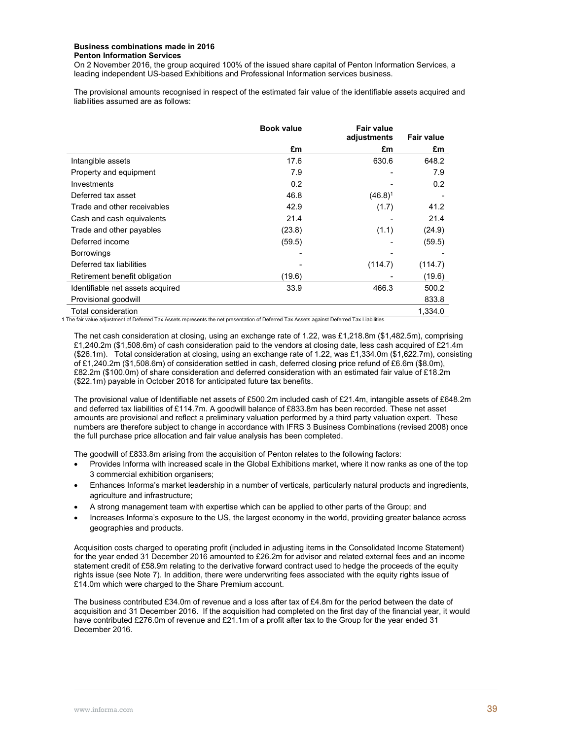#### **Business combinations made in 2016 Penton Information Services**

On 2 November 2016, the group acquired 100% of the issued share capital of Penton Information Services, a leading independent US-based Exhibitions and Professional Information services business.

The provisional amounts recognised in respect of the estimated fair value of the identifiable assets acquired and liabilities assumed are as follows:

|                                  | <b>Book value</b><br><b>Fair value</b> |                |                   |
|----------------------------------|----------------------------------------|----------------|-------------------|
|                                  |                                        | adjustments    | <b>Fair value</b> |
|                                  | £m                                     | £m             | £m                |
| Intangible assets                | 17.6                                   | 630.6          | 648.2             |
| Property and equipment           | 7.9                                    |                | 7.9               |
| Investments                      | 0.2                                    |                | 0.2               |
| Deferred tax asset               | 46.8                                   | $(46.8)^1$     |                   |
| Trade and other receivables      | 42.9                                   | (1.7)          | 41.2              |
| Cash and cash equivalents        | 21.4                                   |                | 21.4              |
| Trade and other payables         | (23.8)                                 | (1.1)          | (24.9)            |
| Deferred income                  | (59.5)                                 |                | (59.5)            |
| <b>Borrowings</b>                |                                        |                |                   |
| Deferred tax liabilities         |                                        | (114.7)        | (114.7)           |
| Retirement benefit obligation    | (19.6)                                 |                | (19.6)            |
| Identifiable net assets acquired | 33.9                                   | 466.3          | 500.2             |
| Provisional goodwill             |                                        |                | 833.8             |
| Total consideration              |                                        | $1.1 - 1.1144$ | 1,334.0           |

1 The fair value adjustment of Deferred Tax Assets represents the net presentation of Deferred Tax Assets against Deferred Tax Liabilities.

The net cash consideration at closing, using an exchange rate of 1.22, was £1,218.8m (\$1,482.5m), comprising £1,240.2m (\$1,508.6m) of cash consideration paid to the vendors at closing date, less cash acquired of £21.4m (\$26.1m). Total consideration at closing, using an exchange rate of 1.22, was £1,334.0m (\$1,622.7m), consisting of £1,240.2m (\$1,508.6m) of consideration settled in cash, deferred closing price refund of £6.6m (\$8.0m), £82.2m (\$100.0m) of share consideration and deferred consideration with an estimated fair value of £18.2m (\$22.1m) payable in October 2018 for anticipated future tax benefits.

The provisional value of Identifiable net assets of £500.2m included cash of £21.4m, intangible assets of £648.2m and deferred tax liabilities of £114.7m. A goodwill balance of £833.8m has been recorded. These net asset amounts are provisional and reflect a preliminary valuation performed by a third party valuation expert. These numbers are therefore subject to change in accordance with IFRS 3 Business Combinations (revised 2008) once the full purchase price allocation and fair value analysis has been completed.

The goodwill of £833.8m arising from the acquisition of Penton relates to the following factors:

- Provides Informa with increased scale in the Global Exhibitions market, where it now ranks as one of the top 3 commercial exhibition organisers;
- Enhances Informa's market leadership in a number of verticals, particularly natural products and ingredients, agriculture and infrastructure;
- A strong management team with expertise which can be applied to other parts of the Group; and
- Increases Informa's exposure to the US, the largest economy in the world, providing greater balance across geographies and products.

Acquisition costs charged to operating profit (included in adjusting items in the Consolidated Income Statement) for the year ended 31 December 2016 amounted to £26.2m for advisor and related external fees and an income statement credit of £58.9m relating to the derivative forward contract used to hedge the proceeds of the equity rights issue (see Note 7). In addition, there were underwriting fees associated with the equity rights issue of £14.0m which were charged to the Share Premium account.

The business contributed £34.0m of revenue and a loss after tax of £4.8m for the period between the date of acquisition and 31 December 2016. If the acquisition had completed on the first day of the financial year, it would have contributed £276.0m of revenue and £21.1m of a profit after tax to the Group for the year ended 31 December 2016.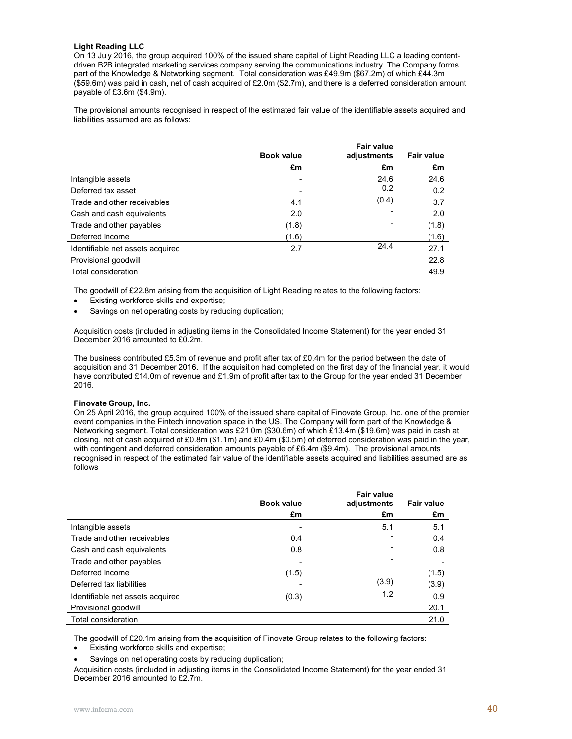### **Light Reading LLC**

On 13 July 2016, the group acquired 100% of the issued share capital of Light Reading LLC a leading contentdriven B2B integrated marketing services company serving the communications industry. The Company forms part of the Knowledge & Networking segment. Total consideration was £49.9m (\$67.2m) of which £44.3m (\$59.6m) was paid in cash, net of cash acquired of £2.0m (\$2.7m), and there is a deferred consideration amount payable of £3.6m (\$4.9m).

The provisional amounts recognised in respect of the estimated fair value of the identifiable assets acquired and liabilities assumed are as follows:

|                                  | <b>Book value</b> | <b>Fair value</b><br>adjustments | <b>Fair value</b> |
|----------------------------------|-------------------|----------------------------------|-------------------|
|                                  | £m                | £m                               | £m                |
| Intangible assets                | ۰                 | 24.6                             | 24.6              |
| Deferred tax asset               |                   | 0.2                              | 0.2               |
| Trade and other receivables      | 4.1               | (0.4)                            | 3.7               |
| Cash and cash equivalents        | 2.0               |                                  | 2.0               |
| Trade and other payables         | (1.8)             | -                                | (1.8)             |
| Deferred income                  | (1.6)             |                                  | (1.6)             |
| Identifiable net assets acquired | 2.7               | 24.4                             | 27.1              |
| Provisional goodwill             |                   |                                  | 22.8              |
| Total consideration              |                   |                                  | 49.9              |

The goodwill of £22.8m arising from the acquisition of Light Reading relates to the following factors:

- Existing workforce skills and expertise;
- Savings on net operating costs by reducing duplication;

Acquisition costs (included in adjusting items in the Consolidated Income Statement) for the year ended 31 December 2016 amounted to £0.2m.

The business contributed £5.3m of revenue and profit after tax of £0.4m for the period between the date of acquisition and 31 December 2016. If the acquisition had completed on the first day of the financial year, it would have contributed £14.0m of revenue and £1.9m of profit after tax to the Group for the year ended 31 December 2016.

#### **Finovate Group, Inc.**

On 25 April 2016, the group acquired 100% of the issued share capital of Finovate Group, Inc. one of the premier event companies in the Fintech innovation space in the US. The Company will form part of the Knowledge & Networking segment. Total consideration was £21.0m (\$30.6m) of which £13.4m (\$19.6m) was paid in cash at closing, net of cash acquired of £0.8m (\$1.1m) and £0.4m (\$0.5m) of deferred consideration was paid in the year, with contingent and deferred consideration amounts payable of £6.4m (\$9.4m). The provisional amounts recognised in respect of the estimated fair value of the identifiable assets acquired and liabilities assumed are as follows

|                                  | <b>Book value</b> | <b>Fair value</b><br>adjustments | <b>Fair value</b> |
|----------------------------------|-------------------|----------------------------------|-------------------|
|                                  |                   |                                  |                   |
|                                  | £m                | £m                               | £m                |
| Intangible assets                |                   | 5.1                              | 5.1               |
| Trade and other receivables      | 0.4               |                                  | 0.4               |
| Cash and cash equivalents        | 0.8               |                                  | 0.8               |
| Trade and other payables         |                   |                                  |                   |
| Deferred income                  | (1.5)             |                                  | (1.5)             |
| Deferred tax liabilities         |                   | (3.9)                            | (3.9)             |
| Identifiable net assets acquired | (0.3)             | 1.2                              | 0.9               |
| Provisional goodwill             |                   |                                  | 20.1              |
| Total consideration              |                   |                                  | 21.0              |

The goodwill of £20.1m arising from the acquisition of Finovate Group relates to the following factors:

- Existing workforce skills and expertise;
- Savings on net operating costs by reducing duplication;

Acquisition costs (included in adjusting items in the Consolidated Income Statement) for the year ended 31 December 2016 amounted to £2.7m.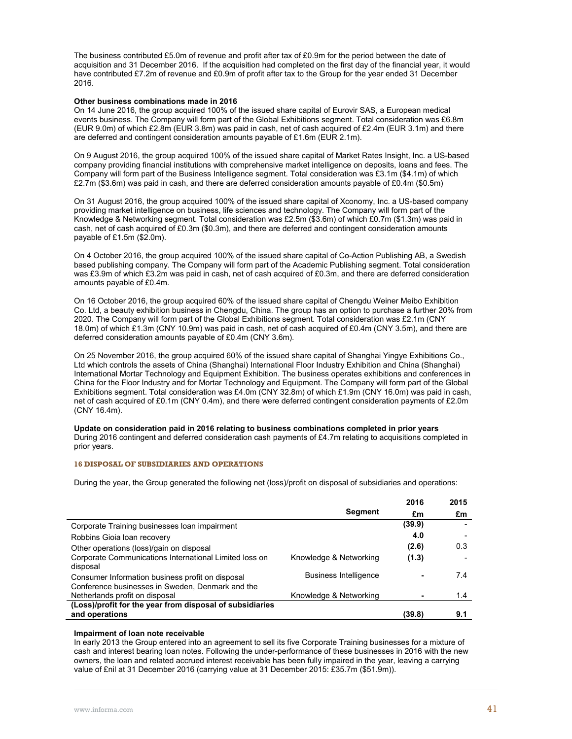The business contributed £5.0m of revenue and profit after tax of £0.9m for the period between the date of acquisition and 31 December 2016. If the acquisition had completed on the first day of the financial year, it would have contributed £7.2m of revenue and £0.9m of profit after tax to the Group for the year ended 31 December 2016.

#### **Other business combinations made in 2016**

On 14 June 2016, the group acquired 100% of the issued share capital of Eurovir SAS, a European medical events business. The Company will form part of the Global Exhibitions segment. Total consideration was £6.8m (EUR 9.0m) of which £2.8m (EUR 3.8m) was paid in cash, net of cash acquired of £2.4m (EUR 3.1m) and there are deferred and contingent consideration amounts payable of £1.6m (EUR 2.1m).

On 9 August 2016, the group acquired 100% of the issued share capital of Market Rates Insight, Inc. a US-based company providing financial institutions with comprehensive market intelligence on deposits, loans and fees. The Company will form part of the Business Intelligence segment. Total consideration was £3.1m (\$4.1m) of which £2.7m (\$3.6m) was paid in cash, and there are deferred consideration amounts payable of £0.4m (\$0.5m)

On 31 August 2016, the group acquired 100% of the issued share capital of Xconomy, Inc. a US-based company providing market intelligence on business, life sciences and technology. The Company will form part of the Knowledge & Networking segment. Total consideration was £2.5m (\$3.6m) of which £0.7m (\$1.3m) was paid in cash, net of cash acquired of £0.3m (\$0.3m), and there are deferred and contingent consideration amounts payable of £1.5m (\$2.0m).

On 4 October 2016, the group acquired 100% of the issued share capital of Co-Action Publishing AB, a Swedish based publishing company. The Company will form part of the Academic Publishing segment. Total consideration was £3.9m of which £3.2m was paid in cash, net of cash acquired of £0.3m, and there are deferred consideration amounts payable of £0.4m.

On 16 October 2016, the group acquired 60% of the issued share capital of Chengdu Weiner Meibo Exhibition Co. Ltd, a beauty exhibition business in Chengdu, China. The group has an option to purchase a further 20% from 2020. The Company will form part of the Global Exhibitions segment. Total consideration was £2.1m (CNY 18.0m) of which £1.3m (CNY 10.9m) was paid in cash, net of cash acquired of £0.4m (CNY 3.5m), and there are deferred consideration amounts payable of £0.4m (CNY 3.6m).

On 25 November 2016, the group acquired 60% of the issued share capital of Shanghai Yingye Exhibitions Co., Ltd which controls the assets of China (Shanghai) International Floor Industry Exhibition and China (Shanghai) International Mortar Technology and Equipment Exhibition. The business operates exhibitions and conferences in China for the Floor Industry and for Mortar Technology and Equipment. The Company will form part of the Global Exhibitions segment. Total consideration was £4.0m (CNY 32.8m) of which £1.9m (CNY 16.0m) was paid in cash, net of cash acquired of £0.1m (CNY 0.4m), and there were deferred contingent consideration payments of £2.0m (CNY 16.4m).

**Update on consideration paid in 2016 relating to business combinations completed in prior years**  During 2016 contingent and deferred consideration cash payments of £4.7m relating to acquisitions completed in prior years.

#### **16 DISPOSAL OF SUBSIDIARIES AND OPERATIONS**

During the year, the Group generated the following net (loss)/profit on disposal of subsidiaries and operations:

|                                                                                                      |                              | 2016   | 2015 |
|------------------------------------------------------------------------------------------------------|------------------------------|--------|------|
|                                                                                                      | <b>Segment</b>               | £m     | £m   |
| Corporate Training businesses loan impairment                                                        |                              | (39.9) |      |
| Robbins Gioia Ioan recovery                                                                          |                              | 4.0    |      |
| Other operations (loss)/gain on disposal                                                             |                              | (2.6)  | 0.3  |
| Corporate Communications International Limited loss on<br>disposal                                   | Knowledge & Networking       | (1.3)  |      |
| Consumer Information business profit on disposal<br>Conference businesses in Sweden, Denmark and the | <b>Business Intelligence</b> |        | 7.4  |
| Netherlands profit on disposal                                                                       | Knowledge & Networking       |        | 1.4  |
| (Loss)/profit for the year from disposal of subsidiaries                                             |                              |        |      |
| and operations                                                                                       |                              | (39.8) | 9.1  |

### **Impairment of loan note receivable**

In early 2013 the Group entered into an agreement to sell its five Corporate Training businesses for a mixture of cash and interest bearing loan notes. Following the under-performance of these businesses in 2016 with the new owners, the loan and related accrued interest receivable has been fully impaired in the year, leaving a carrying value of £nil at 31 December 2016 (carrying value at 31 December 2015: £35.7m (\$51.9m)).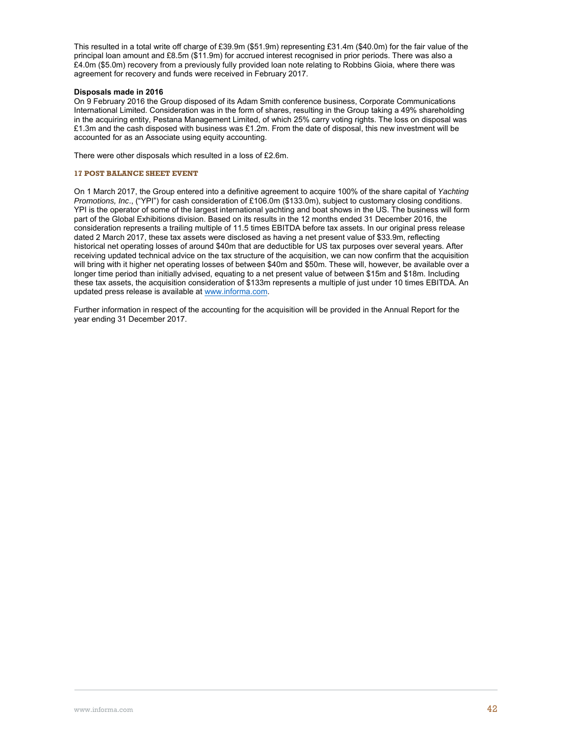This resulted in a total write off charge of £39.9m (\$51.9m) representing £31.4m (\$40.0m) for the fair value of the principal loan amount and £8.5m (\$11.9m) for accrued interest recognised in prior periods. There was also a £4.0m (\$5.0m) recovery from a previously fully provided loan note relating to Robbins Gioia, where there was agreement for recovery and funds were received in February 2017.

### **Disposals made in 2016**

On 9 February 2016 the Group disposed of its Adam Smith conference business, Corporate Communications International Limited. Consideration was in the form of shares, resulting in the Group taking a 49% shareholding in the acquiring entity, Pestana Management Limited, of which 25% carry voting rights. The loss on disposal was £1.3m and the cash disposed with business was £1.2m. From the date of disposal, this new investment will be accounted for as an Associate using equity accounting.

There were other disposals which resulted in a loss of £2.6m.

### **17 POST BALANCE SHEET EVENT**

On 1 March 2017, the Group entered into a definitive agreement to acquire 100% of the share capital of *Yachting Promotions, Inc*., ("YPI") for cash consideration of £106.0m (\$133.0m), subject to customary closing conditions. YPI is the operator of some of the largest international yachting and boat shows in the US. The business will form part of the Global Exhibitions division. Based on its results in the 12 months ended 31 December 2016, the consideration represents a trailing multiple of 11.5 times EBITDA before tax assets. In our original press release dated 2 March 2017, these tax assets were disclosed as having a net present value of \$33.9m, reflecting historical net operating losses of around \$40m that are deductible for US tax purposes over several years. After receiving updated technical advice on the tax structure of the acquisition, we can now confirm that the acquisition will bring with it higher net operating losses of between \$40m and \$50m. These will, however, be available over a longer time period than initially advised, equating to a net present value of between \$15m and \$18m. Including these tax assets, the acquisition consideration of \$133m represents a multiple of just under 10 times EBITDA. An updated press release is available at www.informa.com.

Further information in respect of the accounting for the acquisition will be provided in the Annual Report for the year ending 31 December 2017.